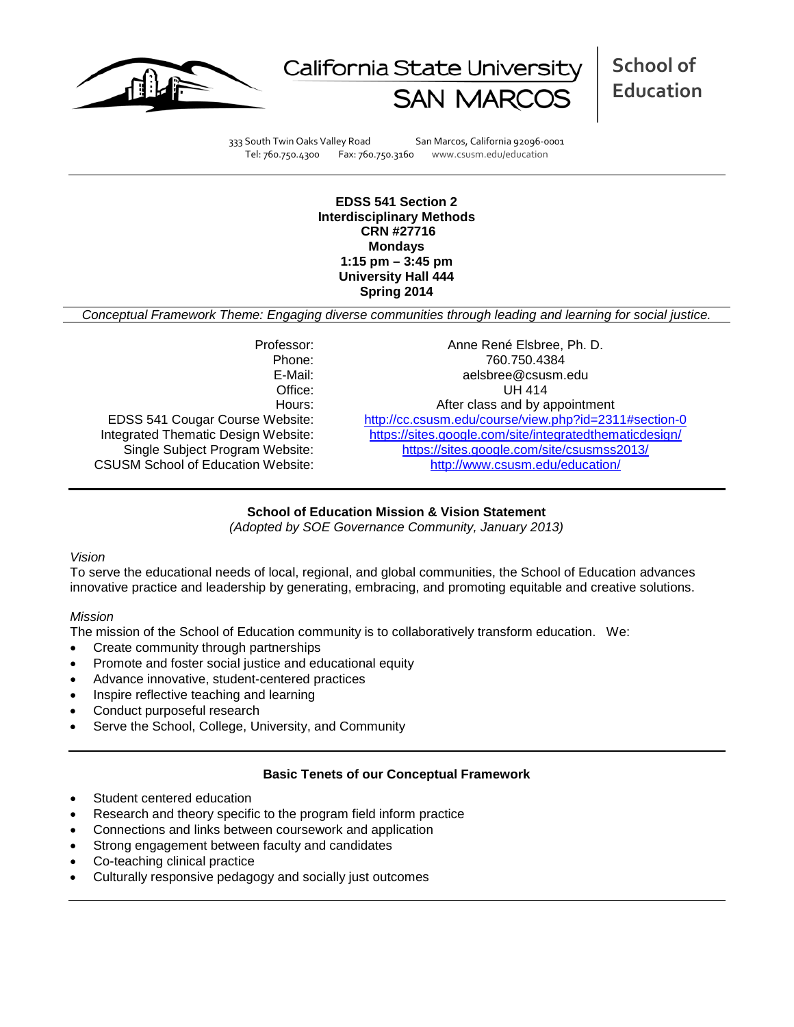



333 South Twin Oaks Valley Road San Marcos, California 92096-0001 Tel: 760.750.4300 Fax: 760.750.3160 www.csusm.edu/education

**EDSS 541 Section 2 Interdisciplinary Methods CRN #27716 Mondays 1:15 pm – 3:45 pm University Hall 444 Spring 2014** 

*Conceptual Framework Theme: Engaging diverse communities through leading and learning for social justice.*

CSUSM School of Education Website:

Professor: Anne René Elsbree, Ph. D. Phone: 760.750.4384<br>E-Mail: 760.750.4384<br>E-Mail: 760.750.4384 aelsbree@csusm.edu Office: UH 414 Hours: Hours: After class and by appointment<br>EDSS 541 Cougar Course Website: http://cc.csusm.edu/course/view.php?id=231 <http://cc.csusm.edu/course/view.php?id=2311#section-0> Integrated Thematic Design Website: <https://sites.google.com/site/integratedthematicdesign/><br>Single Subject Program Website: https://sites.google.com/site/csusmss2013/ <https://sites.google.com/site/csusmss2013/><br>http://www.csusm.edu/education/

# **School of Education Mission & Vision Statement**

*(Adopted by SOE Governance Community, January 2013)*

# *Vision*

To serve the educational needs of local, regional, and global communities, the School of Education advances innovative practice and leadership by generating, embracing, and promoting equitable and creative solutions.

#### *Mission*

The mission of the School of Education community is to collaboratively transform education. We:

- Create community through partnerships
- Promote and foster social justice and educational equity
- Advance innovative, student-centered practices
- Inspire reflective teaching and learning
- Conduct purposeful research
- Serve the School, College, University, and Community

#### **Basic Tenets of our Conceptual Framework**

- Student centered education
- Research and theory specific to the program field inform practice
- Connections and links between coursework and application
- Strong engagement between faculty and candidates
- Co-teaching clinical practice
- Culturally responsive pedagogy and socially just outcomes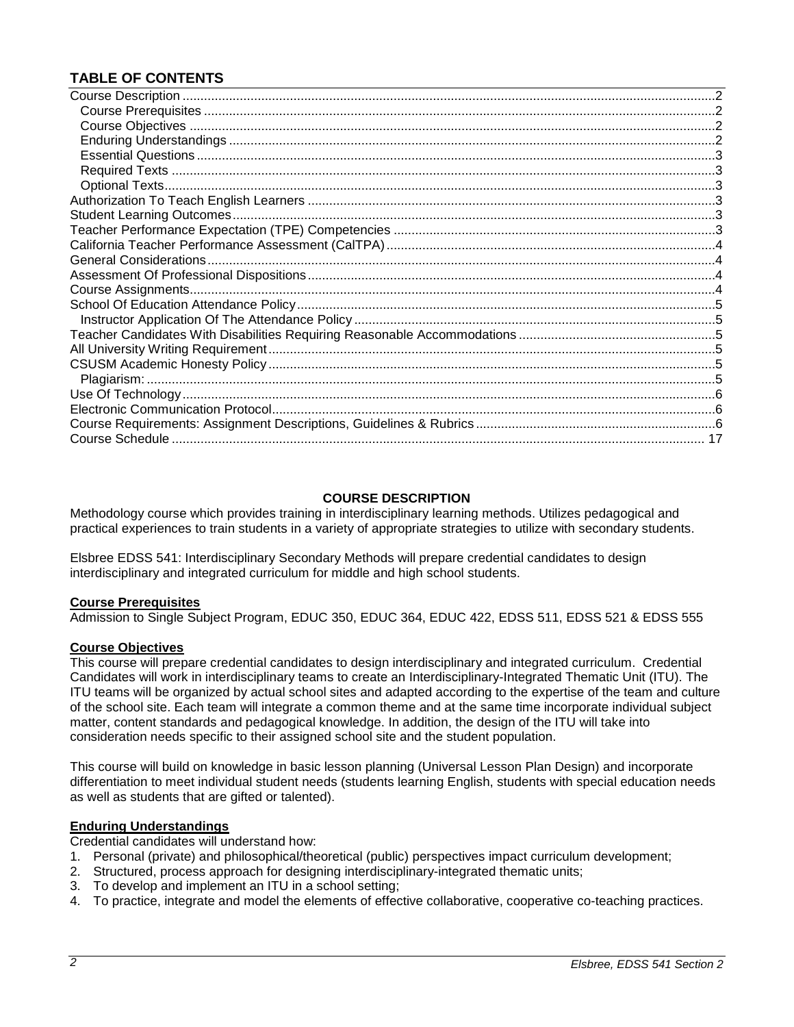# **TABLE OF CONTENTS**

# **COURSE DESCRIPTION**

<span id="page-1-0"></span>Methodology course which provides training in interdisciplinary learning methods. Utilizes pedagogical and practical experiences to train students in a variety of appropriate strategies to utilize with secondary students.

Elsbree EDSS 541: Interdisciplinary Secondary Methods will prepare credential candidates to design interdisciplinary and integrated curriculum for middle and high school students.

#### <span id="page-1-1"></span>**Course Prerequisites**

Admission to Single Subject Program, EDUC 350, EDUC 364, EDUC 422, EDSS 511, EDSS 521 & EDSS 555

#### <span id="page-1-2"></span>**Course Objectives**

This course will prepare credential candidates to design interdisciplinary and integrated curriculum. Credential Candidates will work in interdisciplinary teams to create an Interdisciplinary-Integrated Thematic Unit (ITU). The ITU teams will be organized by actual school sites and adapted according to the expertise of the team and culture of the school site. Each team will integrate a common theme and at the same time incorporate individual subject matter, content standards and pedagogical knowledge. In addition, the design of the ITU will take into consideration needs specific to their assigned school site and the student population.

This course will build on knowledge in basic lesson planning (Universal Lesson Plan Design) and incorporate differentiation to meet individual student needs (students learning English, students with special education needs as well as students that are gifted or talented).

#### <span id="page-1-3"></span>**Enduring Understandings**

Credential candidates will understand how:

- 1. Personal (private) and philosophical/theoretical (public) perspectives impact curriculum development;
- 2. Structured, process approach for designing interdisciplinary-integrated thematic units;
- 3. To develop and implement an ITU in a school setting;
- <span id="page-1-4"></span>4. To practice, integrate and model the elements of effective collaborative, cooperative co-teaching practices.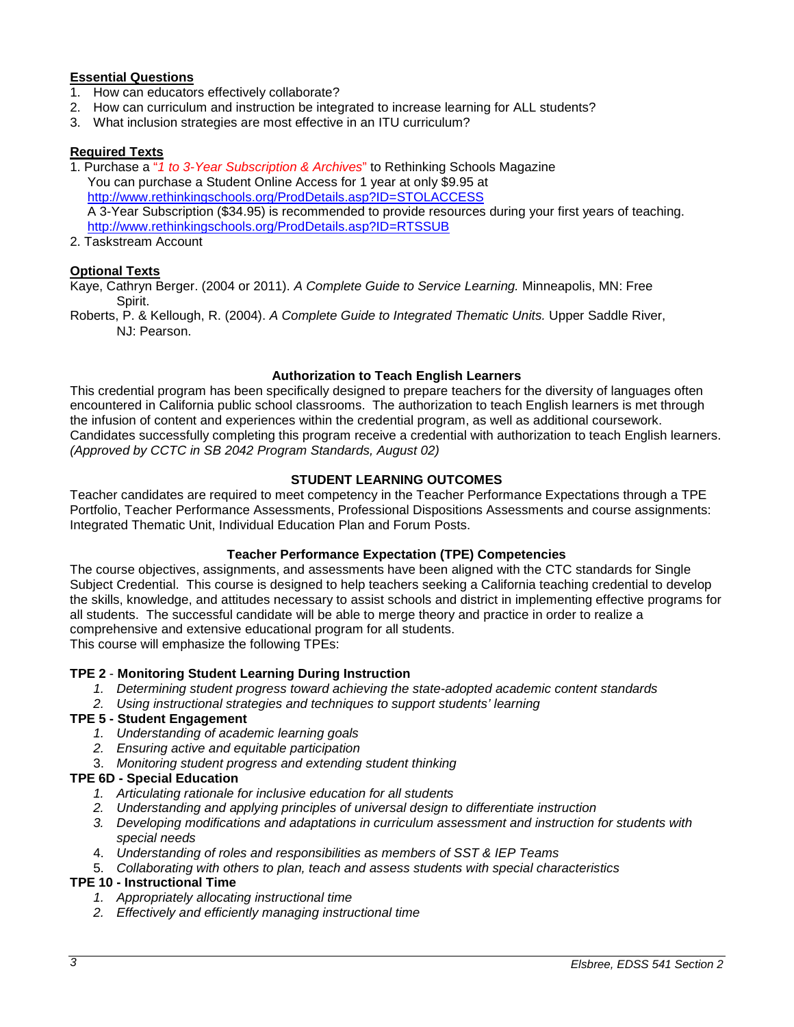# **Essential Questions**

- 1. How can educators effectively collaborate?
- 2. How can curriculum and instruction be integrated to increase learning for ALL students?
- 3. What inclusion strategies are most effective in an ITU curriculum?

# <span id="page-2-0"></span>**Required Texts**

1. Purchase a "*1 to 3-Year Subscription & Archives*" to Rethinking Schools Magazine You can purchase a Student Online Access for 1 year at only \$9.95 at <http://www.rethinkingschools.org/ProdDetails.asp?ID=STOLACCESS> A 3-Year Subscription (\$34.95) is recommended to provide resources during your first years of teaching. <http://www.rethinkingschools.org/ProdDetails.asp?ID=RTSSUB>

2. Taskstream Account

# <span id="page-2-1"></span>**Optional Texts**

Kaye, Cathryn Berger. (2004 or 2011). *A Complete Guide to Service Learning.* Minneapolis, MN: Free Spirit.

Roberts, P. & Kellough, R. (2004). *A Complete Guide to Integrated Thematic Units.* Upper Saddle River, NJ: Pearson.

# **Authorization to Teach English Learners**

<span id="page-2-2"></span>This credential program has been specifically designed to prepare teachers for the diversity of languages often encountered in California public school classrooms. The authorization to teach English learners is met through the infusion of content and experiences within the credential program, as well as additional coursework. Candidates successfully completing this program receive a credential with authorization to teach English learners. *(Approved by CCTC in SB 2042 Program Standards, August 02)*

# **STUDENT LEARNING OUTCOMES**

<span id="page-2-3"></span>Teacher candidates are required to meet competency in the Teacher Performance Expectations through a TPE Portfolio, Teacher Performance Assessments, Professional Dispositions Assessments and course assignments: Integrated Thematic Unit, Individual Education Plan and Forum Posts.

#### **Teacher Performance Expectation (TPE) Competencies**

<span id="page-2-4"></span>The course objectives, assignments, and assessments have been aligned with the CTC standards for Single Subject Credential. This course is designed to help teachers seeking a California teaching credential to develop the skills, knowledge, and attitudes necessary to assist schools and district in implementing effective programs for all students. The successful candidate will be able to merge theory and practice in order to realize a comprehensive and extensive educational program for all students. This course will emphasize the following TPEs:

# **TPE 2** - **Monitoring Student Learning During Instruction**

- *1. Determining student progress toward achieving the state-adopted academic content standards*
- *2. Using instructional strategies and techniques to support students' learning*

#### **TPE 5 - Student Engagement**

- *1. Understanding of academic learning goals*
- *2. Ensuring active and equitable participation*
- 3. *Monitoring student progress and extending student thinking*

# **TPE 6D - Special Education**

- *1. Articulating rationale for inclusive education for all students*
- *2. Understanding and applying principles of universal design to differentiate instruction*
- *3. Developing modifications and adaptations in curriculum assessment and instruction for students with special needs*
- 4. *Understanding of roles and responsibilities as members of SST & IEP Teams*
- 5. *Collaborating with others to plan, teach and assess students with special characteristics*

# **TPE 10 - Instructional Time**

- *1. Appropriately allocating instructional time*
- *2. Effectively and efficiently managing instructional time*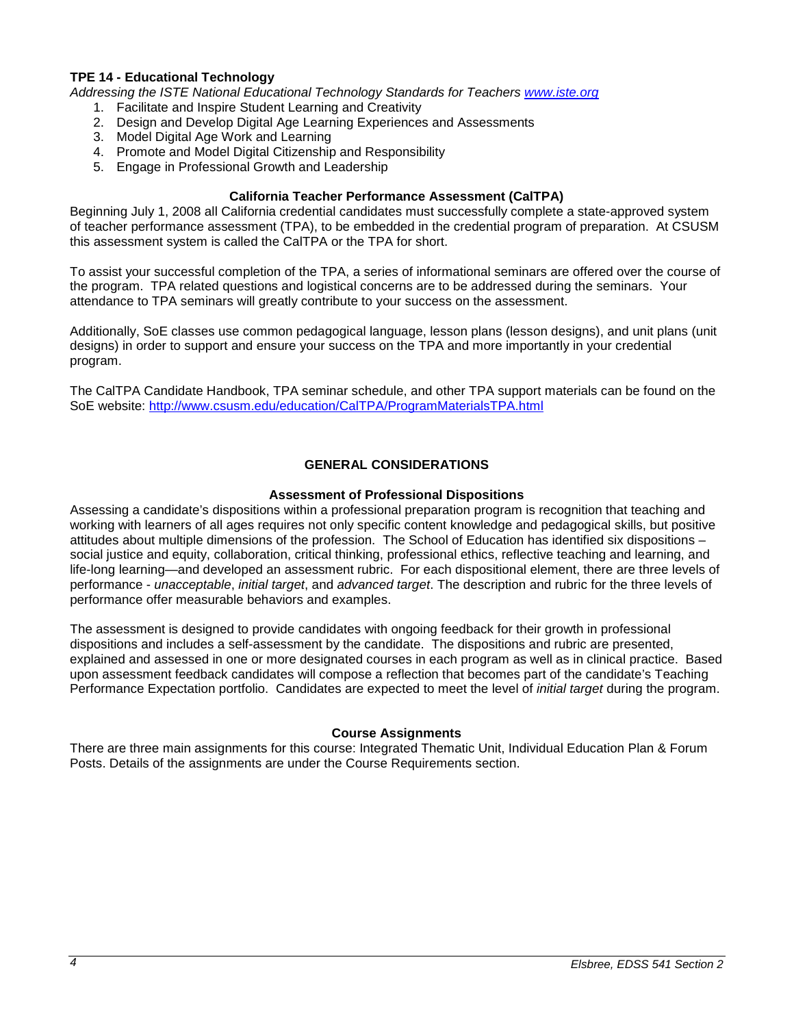#### **TPE 14 - Educational Technology**

*Addressing the ISTE National Educational Technology Standards for Teachers [www.iste.org](http://www.iste.org/)*

- 1. Facilitate and Inspire Student Learning and Creativity
- 2. Design and Develop Digital Age Learning Experiences and Assessments
- 3. Model Digital Age Work and Learning
- 4. Promote and Model Digital Citizenship and Responsibility
- 5. Engage in Professional Growth and Leadership

#### **California Teacher Performance Assessment (CalTPA)**

<span id="page-3-0"></span>Beginning July 1, 2008 all California credential candidates must successfully complete a state-approved system of teacher performance assessment (TPA), to be embedded in the credential program of preparation. At CSUSM this assessment system is called the CalTPA or the TPA for short.

To assist your successful completion of the TPA, a series of informational seminars are offered over the course of the program. TPA related questions and logistical concerns are to be addressed during the seminars. Your attendance to TPA seminars will greatly contribute to your success on the assessment.

Additionally, SoE classes use common pedagogical language, lesson plans (lesson designs), and unit plans (unit designs) in order to support and ensure your success on the TPA and more importantly in your credential program.

The CalTPA Candidate Handbook, TPA seminar schedule, and other TPA support materials can be found on the SoE website: <http://www.csusm.edu/education/CalTPA/ProgramMaterialsTPA.html>

# **GENERAL CONSIDERATIONS**

#### **Assessment of Professional Dispositions**

<span id="page-3-2"></span><span id="page-3-1"></span>Assessing a candidate's dispositions within a professional preparation program is recognition that teaching and working with learners of all ages requires not only specific content knowledge and pedagogical skills, but positive attitudes about multiple dimensions of the profession. The School of Education has identified six dispositions – social justice and equity, collaboration, critical thinking, professional ethics, reflective teaching and learning, and life-long learning—and developed an assessment rubric. For each dispositional element, there are three levels of performance - *unacceptable*, *initial target*, and *advanced target*. The description and rubric for the three levels of performance offer measurable behaviors and examples.

The assessment is designed to provide candidates with ongoing feedback for their growth in professional dispositions and includes a self-assessment by the candidate. The dispositions and rubric are presented, explained and assessed in one or more designated courses in each program as well as in clinical practice. Based upon assessment feedback candidates will compose a reflection that becomes part of the candidate's Teaching Performance Expectation portfolio. Candidates are expected to meet the level of *initial target* during the program.

#### **Course Assignments**

<span id="page-3-4"></span><span id="page-3-3"></span>There are three main assignments for this course: Integrated Thematic Unit, Individual Education Plan & Forum Posts. Details of the assignments are under the Course Requirements section.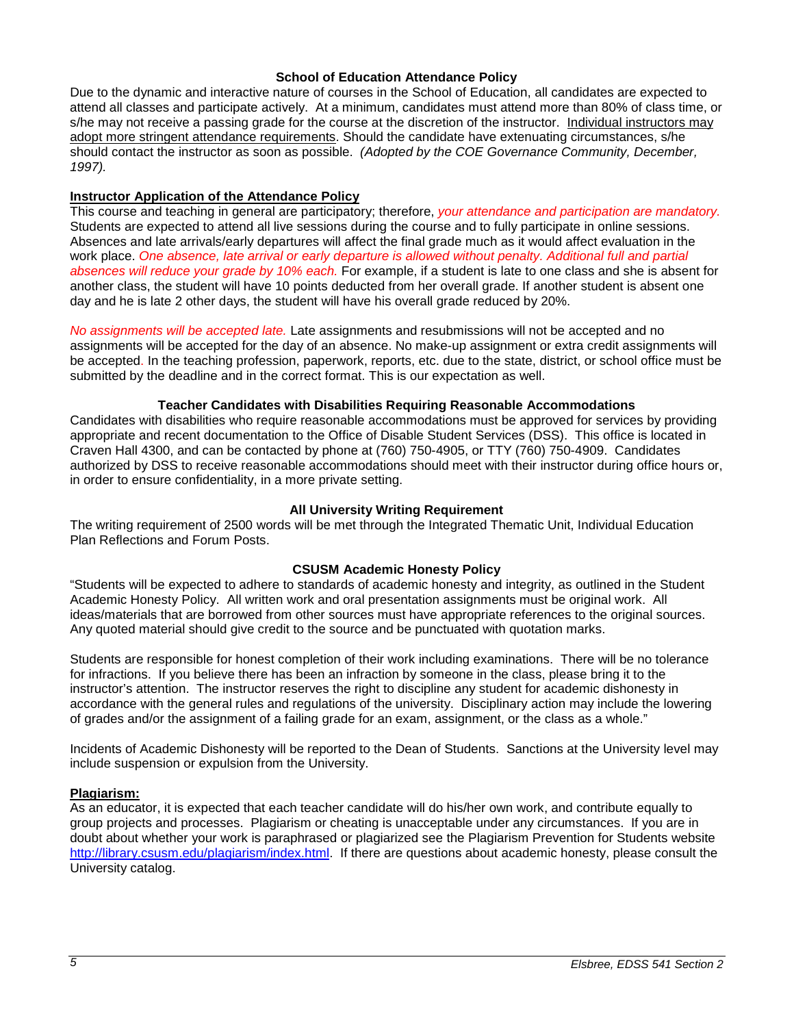#### **School of Education Attendance Policy**

Due to the dynamic and interactive nature of courses in the School of Education, all candidates are expected to attend all classes and participate actively. At a minimum, candidates must attend more than 80% of class time, or s/he may not receive a passing grade for the course at the discretion of the instructor. Individual instructors may adopt more stringent attendance requirements. Should the candidate have extenuating circumstances, s/he should contact the instructor as soon as possible. *(Adopted by the COE Governance Community, December, 1997).*

#### <span id="page-4-0"></span>**Instructor Application of the Attendance Policy**

This course and teaching in general are participatory; therefore, *your attendance and participation are mandatory.* Students are expected to attend all live sessions during the course and to fully participate in online sessions. Absences and late arrivals/early departures will affect the final grade much as it would affect evaluation in the work place. *One absence, late arrival or early departure is allowed without penalty. Additional full and partial absences will reduce your grade by 10% each.* For example, if a student is late to one class and she is absent for another class, the student will have 10 points deducted from her overall grade. If another student is absent one day and he is late 2 other days, the student will have his overall grade reduced by 20%.

*No assignments will be accepted late.* Late assignments and resubmissions will not be accepted and no assignments will be accepted for the day of an absence. No make-up assignment or extra credit assignments will be accepted. In the teaching profession, paperwork, reports, etc. due to the state, district, or school office must be submitted by the deadline and in the correct format. This is our expectation as well.

#### **Teacher Candidates with Disabilities Requiring Reasonable Accommodations**

<span id="page-4-1"></span>Candidates with disabilities who require reasonable accommodations must be approved for services by providing appropriate and recent documentation to the Office of Disable Student Services (DSS). This office is located in Craven Hall 4300, and can be contacted by phone at (760) 750-4905, or TTY (760) 750-4909. Candidates authorized by DSS to receive reasonable accommodations should meet with their instructor during office hours or, in order to ensure confidentiality, in a more private setting.

#### **All University Writing Requirement**

<span id="page-4-2"></span>The writing requirement of 2500 words will be met through the Integrated Thematic Unit, Individual Education Plan Reflections and Forum Posts.

#### **CSUSM Academic Honesty Policy**

<span id="page-4-3"></span>"Students will be expected to adhere to standards of academic honesty and integrity, as outlined in the Student Academic Honesty Policy. All written work and oral presentation assignments must be original work. All ideas/materials that are borrowed from other sources must have appropriate references to the original sources. Any quoted material should give credit to the source and be punctuated with quotation marks.

Students are responsible for honest completion of their work including examinations. There will be no tolerance for infractions. If you believe there has been an infraction by someone in the class, please bring it to the instructor's attention. The instructor reserves the right to discipline any student for academic dishonesty in accordance with the general rules and regulations of the university. Disciplinary action may include the lowering of grades and/or the assignment of a failing grade for an exam, assignment, or the class as a whole."

Incidents of Academic Dishonesty will be reported to the Dean of Students. Sanctions at the University level may include suspension or expulsion from the University.

#### <span id="page-4-4"></span>**Plagiarism:**

As an educator, it is expected that each teacher candidate will do his/her own work, and contribute equally to group projects and processes. Plagiarism or cheating is unacceptable under any circumstances. If you are in doubt about whether your work is paraphrased or plagiarized see the Plagiarism Prevention for Students website [http://library.csusm.edu/plagiarism/index.html.](http://library.csusm.edu/plagiarism/index.html) If there are questions about academic honesty, please consult the University catalog.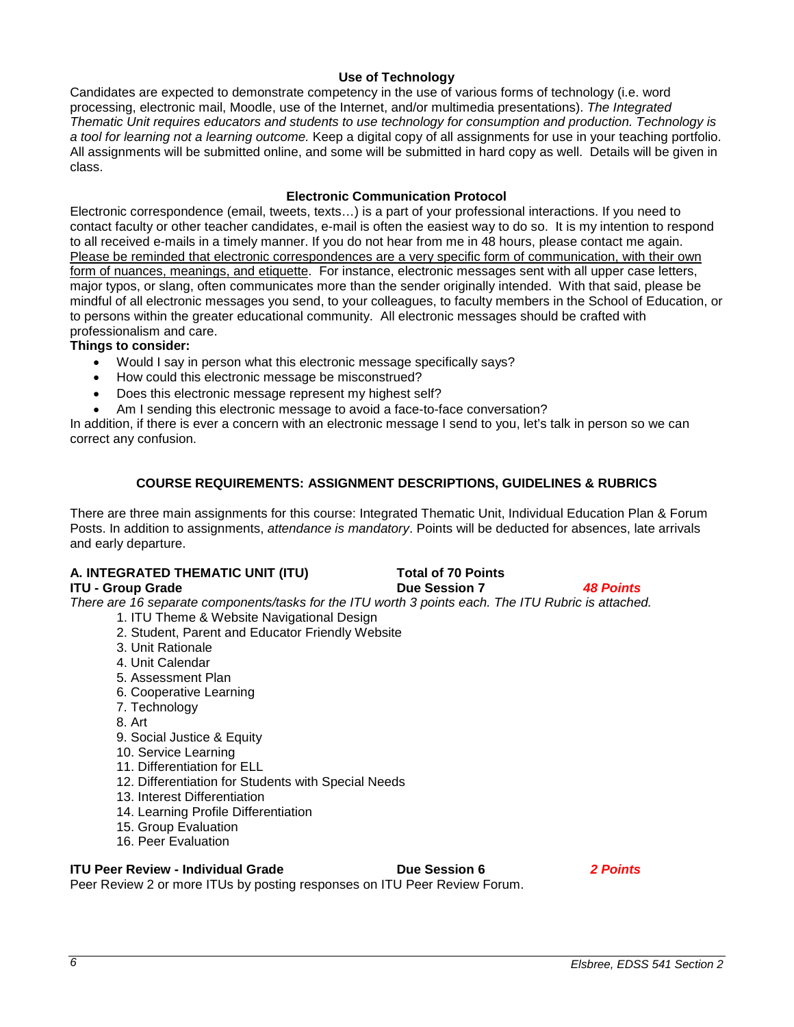# **Use of Technology**

<span id="page-5-0"></span>Candidates are expected to demonstrate competency in the use of various forms of technology (i.e. word processing, electronic mail, Moodle, use of the Internet, and/or multimedia presentations). *The Integrated Thematic Unit requires educators and students to use technology for consumption and production. Technology is a tool for learning not a learning outcome.* Keep a digital copy of all assignments for use in your teaching portfolio. All assignments will be submitted online, and some will be submitted in hard copy as well. Details will be given in class.

#### **Electronic Communication Protocol**

<span id="page-5-1"></span>Electronic correspondence (email, tweets, texts…) is a part of your professional interactions. If you need to contact faculty or other teacher candidates, e-mail is often the easiest way to do so. It is my intention to respond to all received e-mails in a timely manner. If you do not hear from me in 48 hours, please contact me again. Please be reminded that electronic correspondences are a very specific form of communication, with their own form of nuances, meanings, and etiquette. For instance, electronic messages sent with all upper case letters, major typos, or slang, often communicates more than the sender originally intended. With that said, please be mindful of all electronic messages you send, to your colleagues, to faculty members in the School of Education, or to persons within the greater educational community. All electronic messages should be crafted with professionalism and care.

# **Things to consider:**

- Would I say in person what this electronic message specifically says?
- How could this electronic message be misconstrued?
- Does this electronic message represent my highest self?
- Am I sending this electronic message to avoid a face-to-face conversation?

In addition, if there is ever a concern with an electronic message I send to you, let's talk in person so we can correct any confusion.

# **COURSE REQUIREMENTS: ASSIGNMENT DESCRIPTIONS, GUIDELINES & RUBRICS**

<span id="page-5-2"></span>There are three main assignments for this course: Integrated Thematic Unit, Individual Education Plan & Forum Posts. In addition to assignments, *attendance is mandatory*. Points will be deducted for absences, late arrivals and early departure.

# **A. INTEGRATED THEMATIC UNIT (ITU) Total of 70 Points**

**ITU - Group Grade Due Session 7** *48 Points There are 16 separate components/tasks for the ITU worth 3 points each. The ITU Rubric is attached.* 

- 1. ITU Theme & Website Navigational Design
- 2. Student, Parent and Educator Friendly Website
- 3. Unit Rationale
- 4. Unit Calendar
- 5. Assessment Plan
- 6. Cooperative Learning
- 7. Technology
- 8. Art
- 9. Social Justice & Equity
- 10. Service Learning
- 11. Differentiation for ELL
- 12. Differentiation for Students with Special Needs
- 13. Interest Differentiation
- 14. Learning Profile Differentiation
- 15. Group Evaluation
- 16. Peer Evaluation

# **ITU Peer Review - Individual Grade Due Session 6** *2 Points*

Peer Review 2 or more ITUs by posting responses on ITU Peer Review Forum.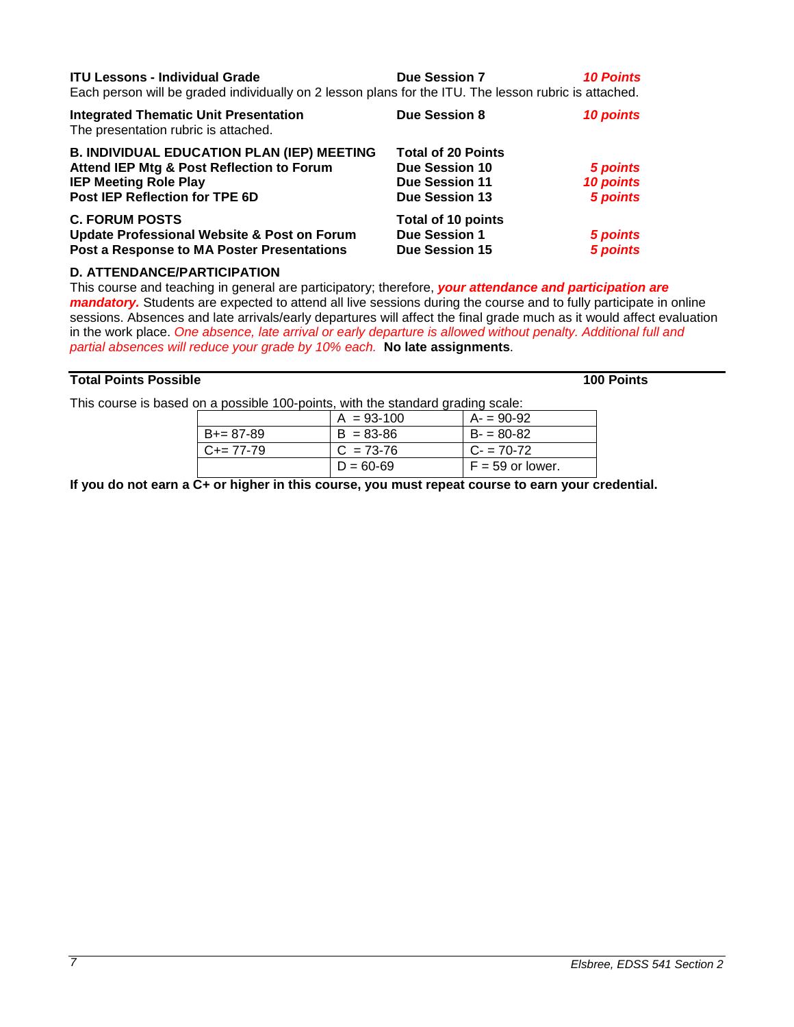| <b>ITU Lessons - Individual Grade</b>                                                                 | <b>Due Session 7</b> | <b>10 Points</b> |
|-------------------------------------------------------------------------------------------------------|----------------------|------------------|
| Faak waxaan will ka weedad individually am O leessa mlans fartka ITH. The leessa wybris is stteekad i |                      |                  |

Each person will be graded individually on 2 lesson plans for the ITU. The lesson rubric is attached.

| <b>Integrated Thematic Unit Presentation</b><br>The presentation rubric is attached. | <b>Due Session 8</b>      | <b>10 points</b> |
|--------------------------------------------------------------------------------------|---------------------------|------------------|
| <b>B. INDIVIDUAL EDUCATION PLAN (IEP) MEETING</b>                                    | <b>Total of 20 Points</b> |                  |
| Attend IEP Mtg & Post Reflection to Forum                                            | <b>Due Session 10</b>     | 5 points         |
| <b>IEP Meeting Role Play</b>                                                         | <b>Due Session 11</b>     | 10 points        |
| Post IEP Reflection for TPE 6D                                                       | <b>Due Session 13</b>     | 5 points         |
| <b>C. FORUM POSTS</b>                                                                | <b>Total of 10 points</b> |                  |
| <b>Update Professional Website &amp; Post on Forum</b>                               | <b>Due Session 1</b>      | 5 points         |
| Post a Response to MA Poster Presentations                                           | <b>Due Session 15</b>     | 5 points         |
|                                                                                      |                           |                  |

# **D. ATTENDANCE/PARTICIPATION**

This course and teaching in general are participatory; therefore, *your attendance and participation are mandatory.* Students are expected to attend all live sessions during the course and to fully participate in online sessions. Absences and late arrivals/early departures will affect the final grade much as it would affect evaluation in the work place. *One absence, late arrival or early departure is allowed without penalty. Additional full and partial absences will reduce your grade by 10% each.* **No late assignments**.

# **Total Points Possible 100 Points**

This course is based on a possible 100-points, with the standard grading scale:

| .                   |                |                    |  |
|---------------------|----------------|--------------------|--|
|                     | $A = 93 - 100$ | $A = 90-92$        |  |
| $B+=87-89$          | $B = 83 - 86$  | $B = 80-82$        |  |
| $C_{\pm} = 77 - 79$ | $C = 73-76$    | $C - 70-72$        |  |
|                     | $D = 60 - 69$  | $F = 59$ or lower. |  |

**If you do not earn a C+ or higher in this course, you must repeat course to earn your credential.**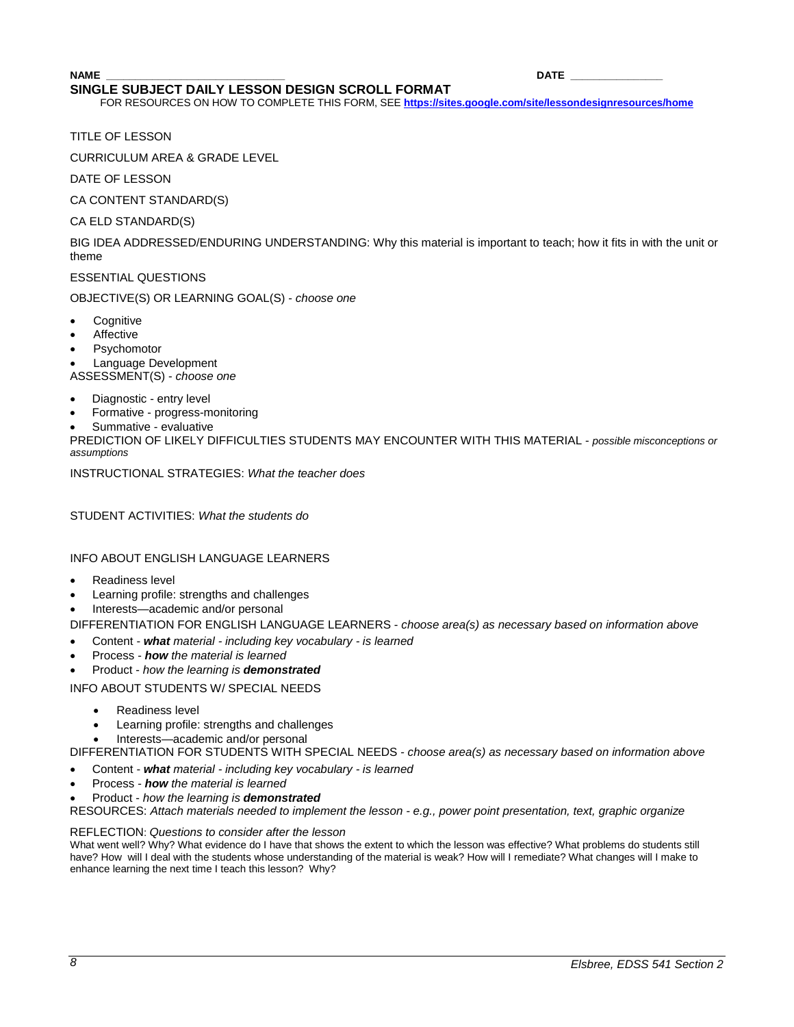#### **NAME \_\_\_\_\_\_\_\_\_\_\_\_\_\_\_\_\_\_\_\_\_\_\_\_\_\_\_\_\_\_\_ DATE \_\_\_\_\_\_\_\_\_\_\_\_\_\_\_\_ SINGLE SUBJECT DAILY LESSON DESIGN SCROLL FORMAT**

FOR RESOURCES ON HOW TO COMPLETE THIS FORM, SEE **<https://sites.google.com/site/lessondesignresources/home>**

TITLE OF LESSON

CURRICULUM AREA & GRADE LEVEL

DATE OF LESSON

CA CONTENT STANDARD(S)

CA ELD STANDARD(S)

BIG IDEA ADDRESSED/ENDURING UNDERSTANDING: Why this material is important to teach; how it fits in with the unit or theme

ESSENTIAL QUESTIONS

OBJECTIVE(S) OR LEARNING GOAL(S) - *choose one*

- **Cognitive**
- **Affective**
- **Psychomotor**

• Language Development ASSESSMENT(S) - *choose one*

- Diagnostic entry level
- Formative progress-monitoring
- Summative evaluative

PREDICTION OF LIKELY DIFFICULTIES STUDENTS MAY ENCOUNTER WITH THIS MATERIAL - *possible misconceptions or assumptions*

INSTRUCTIONAL STRATEGIES: *What the teacher does* 

STUDENT ACTIVITIES: *What the students do*

INFO ABOUT ENGLISH LANGUAGE LEARNERS

- Readiness level
- Learning profile: strengths and challenges
- Interests—academic and/or personal

DIFFERENTIATION FOR ENGLISH LANGUAGE LEARNERS - *choose area(s) as necessary based on information above*

- Content *what material - including key vocabulary - is learned*
- Process *how the material is learned*
- Product *how the learning is demonstrated*

INFO ABOUT STUDENTS W/ SPECIAL NEEDS

- Readiness level
- Learning profile: strengths and challenges
- Interests—academic and/or personal

DIFFERENTIATION FOR STUDENTS WITH SPECIAL NEEDS *- choose area(s) as necessary based on information above*

- Content *what material - including key vocabulary - is learned*
- Process *how the material is learned*
- Product *how the learning is demonstrated*

RESOURCES: *Attach materials needed to implement the lesson - e.g., power point presentation, text, graphic organize*

#### REFLECTION: *Questions to consider after the lesson*

What went well? Why? What evidence do I have that shows the extent to which the lesson was effective? What problems do students still have? How will I deal with the students whose understanding of the material is weak? How will I remediate? What changes will I make to enhance learning the next time I teach this lesson? Why?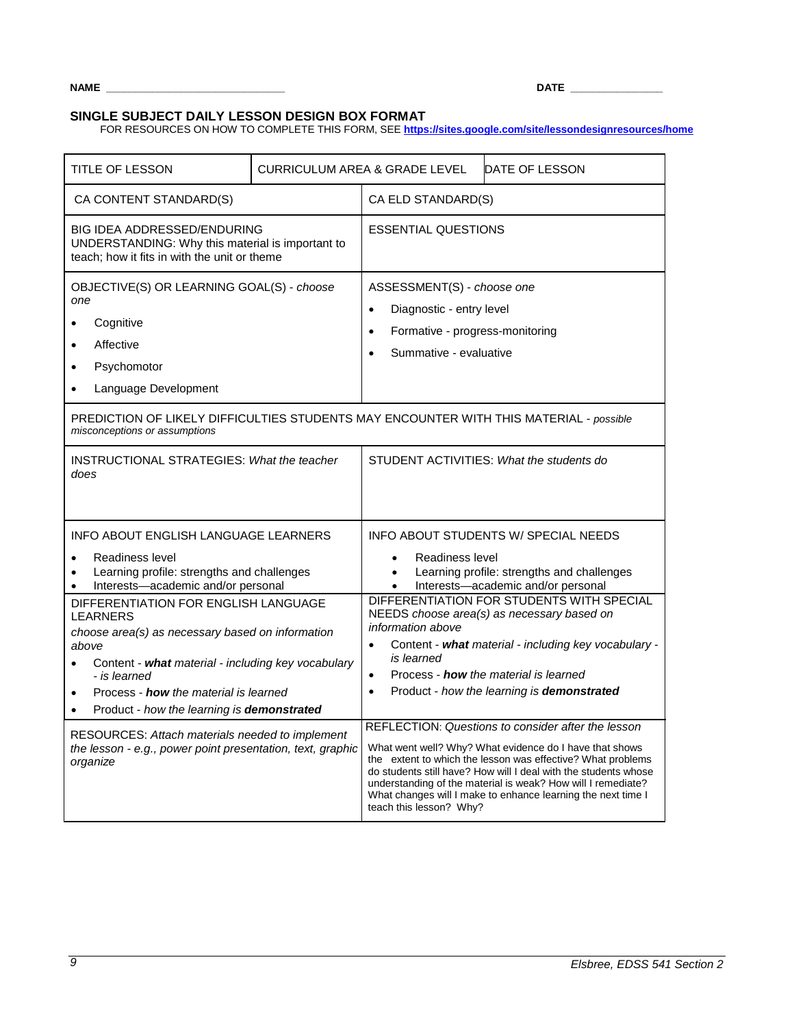**NAME \_\_\_\_\_\_\_\_\_\_\_\_\_\_\_\_\_\_\_\_\_\_\_\_\_\_\_\_\_\_\_ DATE \_\_\_\_\_\_\_\_\_\_\_\_\_\_\_\_**

# **SINGLE SUBJECT DAILY LESSON DESIGN BOX FORMAT**

FOR RESOURCES ON HOW TO COMPLETE THIS FORM, SEE **<https://sites.google.com/site/lessondesignresources/home>**

| TITLE OF LESSON                                                                                                                                                                                                                                                                                                                                                                                                                                 | <b>CURRICULUM AREA &amp; GRADE LEVEL</b> |                                                                                                                                                                                                                                                                                                                                                                                                                                                                                                                                                                                                                               | DATE OF LESSON                                                                                                           |
|-------------------------------------------------------------------------------------------------------------------------------------------------------------------------------------------------------------------------------------------------------------------------------------------------------------------------------------------------------------------------------------------------------------------------------------------------|------------------------------------------|-------------------------------------------------------------------------------------------------------------------------------------------------------------------------------------------------------------------------------------------------------------------------------------------------------------------------------------------------------------------------------------------------------------------------------------------------------------------------------------------------------------------------------------------------------------------------------------------------------------------------------|--------------------------------------------------------------------------------------------------------------------------|
| CA CONTENT STANDARD(S)                                                                                                                                                                                                                                                                                                                                                                                                                          |                                          | CA ELD STANDARD(S)                                                                                                                                                                                                                                                                                                                                                                                                                                                                                                                                                                                                            |                                                                                                                          |
| <b>BIG IDEA ADDRESSED/ENDURING</b><br>UNDERSTANDING: Why this material is important to<br>teach; how it fits in with the unit or theme                                                                                                                                                                                                                                                                                                          |                                          | <b>ESSENTIAL QUESTIONS</b>                                                                                                                                                                                                                                                                                                                                                                                                                                                                                                                                                                                                    |                                                                                                                          |
| OBJECTIVE(S) OR LEARNING GOAL(S) - choose<br>one<br>Cognitive<br>Affective<br>$\bullet$<br>Psychomotor<br>Language Development                                                                                                                                                                                                                                                                                                                  |                                          | ASSESSMENT(S) - choose one<br>Diagnostic - entry level<br>$\bullet$<br>Formative - progress-monitoring<br>$\bullet$<br>Summative - evaluative                                                                                                                                                                                                                                                                                                                                                                                                                                                                                 |                                                                                                                          |
| PREDICTION OF LIKELY DIFFICULTIES STUDENTS MAY ENCOUNTER WITH THIS MATERIAL - possible<br>misconceptions or assumptions                                                                                                                                                                                                                                                                                                                         |                                          |                                                                                                                                                                                                                                                                                                                                                                                                                                                                                                                                                                                                                               |                                                                                                                          |
| <b>INSTRUCTIONAL STRATEGIES: What the teacher</b><br>does                                                                                                                                                                                                                                                                                                                                                                                       |                                          |                                                                                                                                                                                                                                                                                                                                                                                                                                                                                                                                                                                                                               | STUDENT ACTIVITIES: What the students do                                                                                 |
| <b>INFO ABOUT ENGLISH LANGUAGE LEARNERS</b><br>Readiness level<br>Learning profile: strengths and challenges<br>Interests-academic and/or personal                                                                                                                                                                                                                                                                                              |                                          | Readiness level<br>$\bullet$<br>$\bullet$                                                                                                                                                                                                                                                                                                                                                                                                                                                                                                                                                                                     | INFO ABOUT STUDENTS W/ SPECIAL NEEDS<br>Learning profile: strengths and challenges<br>Interests-academic and/or personal |
| DIFFERENTIATION FOR ENGLISH LANGUAGE<br><b>LEARNERS</b><br>choose area(s) as necessary based on information<br>above<br>Content - what material - including key vocabulary<br>- is learned<br>Process - <b>how</b> the material is learned<br>$\bullet$<br>Product - how the learning is demonstrated<br>$\bullet$<br>RESOURCES: Attach materials needed to implement<br>the lesson - e.g., power point presentation, text, graphic<br>organize |                                          | DIFFERENTIATION FOR STUDENTS WITH SPECIAL<br>NEEDS choose area(s) as necessary based on<br>information above<br>Content - what material - including key vocabulary -<br>is learned<br>Process - <b>how</b> the material is learned<br>$\bullet$<br>Product - how the learning is demonstrated<br>$\bullet$<br>REFLECTION: Questions to consider after the lesson<br>What went well? Why? What evidence do I have that shows<br>the extent to which the lesson was effective? What problems<br>do students still have? How will I deal with the students whose<br>understanding of the material is weak? How will I remediate? |                                                                                                                          |
|                                                                                                                                                                                                                                                                                                                                                                                                                                                 |                                          | teach this lesson? Why?                                                                                                                                                                                                                                                                                                                                                                                                                                                                                                                                                                                                       | What changes will I make to enhance learning the next time I                                                             |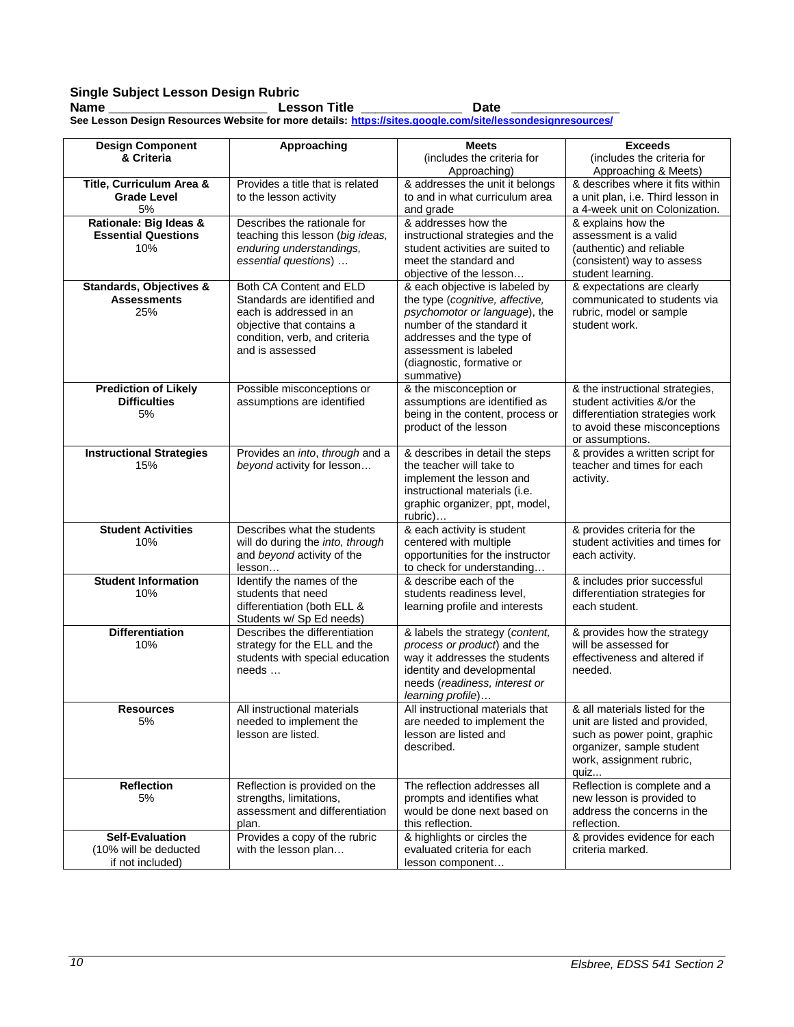# **Single Subject Lesson Design Rubric**

**Name \_\_\_\_\_\_\_\_\_\_\_\_\_\_\_\_\_\_\_\_\_\_ Lesson Title \_\_\_\_\_\_\_\_\_\_\_\_\_\_ Date \_\_\_\_\_\_\_\_\_\_\_\_\_\_\_ See Lesson Design Resources Website for more details: <https://sites.google.com/site/lessondesignresources/>**

| <b>Design Component</b>                         | <b>Approaching</b>                               | <b>Meets</b>                                                | <b>Exceeds</b>                                           |
|-------------------------------------------------|--------------------------------------------------|-------------------------------------------------------------|----------------------------------------------------------|
| & Criteria                                      |                                                  | (includes the criteria for                                  | (includes the criteria for                               |
|                                                 | Provides a title that is related                 | Approaching)<br>& addresses the unit it belongs             | Approaching & Meets)<br>& describes where it fits within |
| Title, Curriculum Area &<br><b>Grade Level</b>  | to the lesson activity                           | to and in what curriculum area                              | a unit plan, i.e. Third lesson in                        |
| 5%                                              |                                                  | and grade                                                   | a 4-week unit on Colonization.                           |
| Rationale: Big Ideas &                          | Describes the rationale for                      | & addresses how the                                         | & explains how the                                       |
| <b>Essential Questions</b>                      | teaching this lesson (big ideas,                 | instructional strategies and the                            | assessment is a valid                                    |
| 10%                                             | enduring understandings,                         | student activities are suited to                            | (authentic) and reliable                                 |
|                                                 | essential questions)                             | meet the standard and                                       | (consistent) way to assess                               |
|                                                 |                                                  | objective of the lesson                                     | student learning.                                        |
| Standards, Objectives &                         | Both CA Content and ELD                          | & each objective is labeled by                              | & expectations are clearly                               |
| <b>Assessments</b>                              | Standards are identified and                     | the type (cognitive, affective,                             | communicated to students via                             |
| 25%                                             | each is addressed in an                          | psychomotor or language), the                               | rubric, model or sample                                  |
|                                                 | objective that contains a                        | number of the standard it                                   | student work.                                            |
|                                                 | condition, verb, and criteria                    | addresses and the type of                                   |                                                          |
|                                                 | and is assessed                                  | assessment is labeled                                       |                                                          |
|                                                 |                                                  | (diagnostic, formative or<br>summative)                     |                                                          |
| <b>Prediction of Likely</b>                     | Possible misconceptions or                       | & the misconception or                                      | & the instructional strategies,                          |
| <b>Difficulties</b>                             | assumptions are identified                       | assumptions are identified as                               | student activities &/or the                              |
| 5%                                              |                                                  | being in the content, process or                            | differentiation strategies work                          |
|                                                 |                                                  | product of the lesson                                       | to avoid these misconceptions                            |
|                                                 |                                                  |                                                             | or assumptions.                                          |
| <b>Instructional Strategies</b>                 | Provides an into, through and a                  | & describes in detail the steps                             | & provides a written script for                          |
| 15%                                             | beyond activity for lesson                       | the teacher will take to                                    | teacher and times for each                               |
|                                                 |                                                  | implement the lesson and                                    | activity.                                                |
|                                                 |                                                  | instructional materials (i.e.                               |                                                          |
|                                                 |                                                  | graphic organizer, ppt, model,                              |                                                          |
| <b>Student Activities</b>                       | Describes what the students                      | rubric)<br>& each activity is student                       | & provides criteria for the                              |
| 10%                                             | will do during the into, through                 | centered with multiple                                      | student activities and times for                         |
|                                                 | and beyond activity of the                       | opportunities for the instructor                            | each activity.                                           |
|                                                 | lesson                                           | to check for understanding                                  |                                                          |
| <b>Student Information</b>                      | Identify the names of the                        | & describe each of the                                      | & includes prior successful                              |
| 10%                                             | students that need                               | students readiness level,                                   | differentiation strategies for                           |
|                                                 | differentiation (both ELL &                      | learning profile and interests                              | each student.                                            |
|                                                 | Students w/ Sp Ed needs)                         |                                                             |                                                          |
| <b>Differentiation</b>                          | Describes the differentiation                    | & labels the strategy (content,                             | & provides how the strategy                              |
| 10%                                             | strategy for the ELL and the                     | process or product) and the                                 | will be assessed for                                     |
|                                                 | students with special education<br>$needs \dots$ | way it addresses the students<br>identity and developmental | effectiveness and altered if<br>needed.                  |
|                                                 |                                                  | needs (readiness, interest or                               |                                                          |
|                                                 |                                                  | learning profile)                                           |                                                          |
| Resources                                       | All instructional materials                      | All instructional materials that                            | & all materials listed for the                           |
| 5%                                              | needed to implement the                          | are needed to implement the                                 | unit are listed and provided,                            |
|                                                 | lesson are listed.                               | lesson are listed and                                       | such as power point, graphic                             |
|                                                 |                                                  | described.                                                  | organizer, sample student                                |
|                                                 |                                                  |                                                             | work, assignment rubric,                                 |
|                                                 |                                                  |                                                             | quiz                                                     |
| <b>Reflection</b>                               | Reflection is provided on the                    | The reflection addresses all                                | Reflection is complete and a                             |
| 5%                                              | strengths, limitations,                          | prompts and identifies what                                 | new lesson is provided to                                |
|                                                 | assessment and differentiation                   | would be done next based on                                 | address the concerns in the                              |
|                                                 | plan.                                            | this reflection.                                            | reflection.                                              |
| <b>Self-Evaluation</b><br>(10% will be deducted | Provides a copy of the rubric                    | & highlights or circles the<br>evaluated criteria for each  | & provides evidence for each<br>criteria marked.         |
| if not included)                                | with the lesson plan                             | lesson component                                            |                                                          |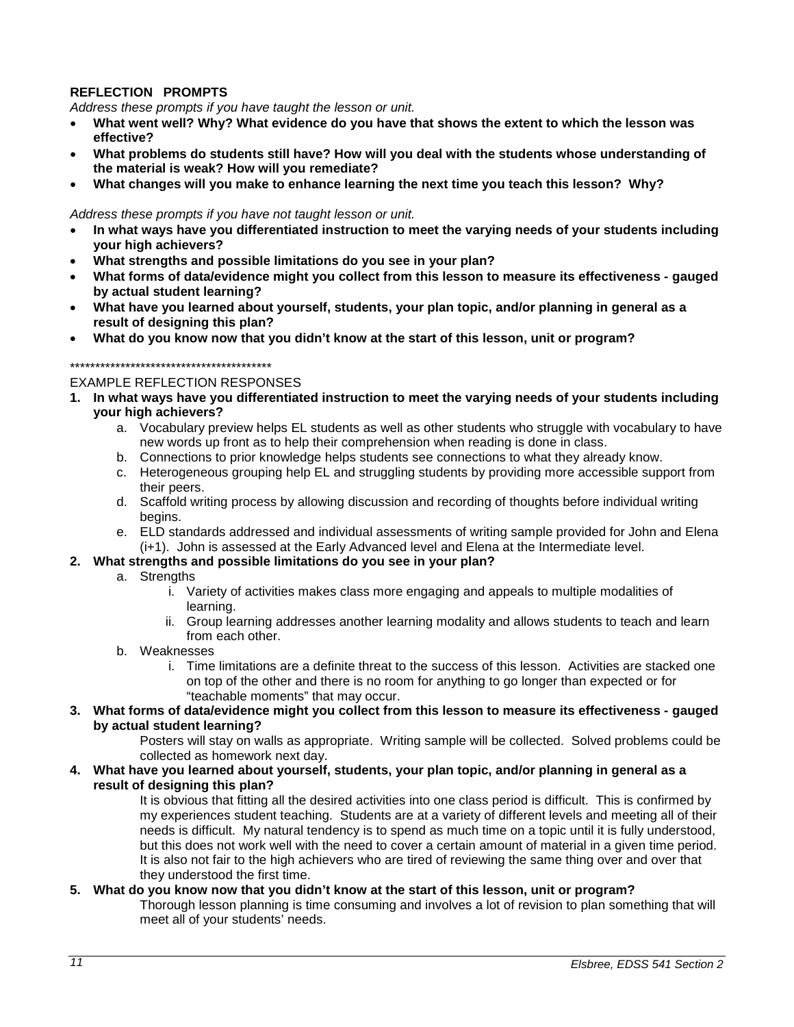# **REFLECTION PROMPTS**

*Address these prompts if you have taught the lesson or unit.* 

- **What went well? Why? What evidence do you have that shows the extent to which the lesson was effective?**
- **What problems do students still have? How will you deal with the students whose understanding of the material is weak? How will you remediate?**
- **What changes will you make to enhance learning the next time you teach this lesson? Why?**

#### *Address these prompts if you have not taught lesson or unit.*

- **In what ways have you differentiated instruction to meet the varying needs of your students including your high achievers?**
- **What strengths and possible limitations do you see in your plan?**
- **What forms of data/evidence might you collect from this lesson to measure its effectiveness - gauged by actual student learning?**
- **What have you learned about yourself, students, your plan topic, and/or planning in general as a result of designing this plan?**
- **What do you know now that you didn't know at the start of this lesson, unit or program?**

#### \*\*\*\*\*\*\*\*\*\*\*\*\*\*\*\*\*\*\*\*\*\*\*\*\*\*\*\*\*\*\*\*\*\*\*\*\*\*\*\*

#### EXAMPLE REFLECTION RESPONSES

- **1. In what ways have you differentiated instruction to meet the varying needs of your students including your high achievers?**
	- a. Vocabulary preview helps EL students as well as other students who struggle with vocabulary to have new words up front as to help their comprehension when reading is done in class.
	- b. Connections to prior knowledge helps students see connections to what they already know.
	- c. Heterogeneous grouping help EL and struggling students by providing more accessible support from their peers.
	- d. Scaffold writing process by allowing discussion and recording of thoughts before individual writing begins.
	- e. ELD standards addressed and individual assessments of writing sample provided for John and Elena (i+1). John is assessed at the Early Advanced level and Elena at the Intermediate level.

#### **2. What strengths and possible limitations do you see in your plan?**

- a. Strengths
	- i. Variety of activities makes class more engaging and appeals to multiple modalities of learning.
	- ii. Group learning addresses another learning modality and allows students to teach and learn from each other.
- b. Weaknesses
	- i. Time limitations are a definite threat to the success of this lesson. Activities are stacked one on top of the other and there is no room for anything to go longer than expected or for "teachable moments" that may occur.
- **3. What forms of data/evidence might you collect from this lesson to measure its effectiveness - gauged by actual student learning?**

Posters will stay on walls as appropriate. Writing sample will be collected. Solved problems could be collected as homework next day.

**4. What have you learned about yourself, students, your plan topic, and/or planning in general as a result of designing this plan?** 

It is obvious that fitting all the desired activities into one class period is difficult. This is confirmed by my experiences student teaching. Students are at a variety of different levels and meeting all of their needs is difficult. My natural tendency is to spend as much time on a topic until it is fully understood, but this does not work well with the need to cover a certain amount of material in a given time period. It is also not fair to the high achievers who are tired of reviewing the same thing over and over that they understood the first time.

#### **5. What do you know now that you didn't know at the start of this lesson, unit or program?**

Thorough lesson planning is time consuming and involves a lot of revision to plan something that will meet all of your students' needs.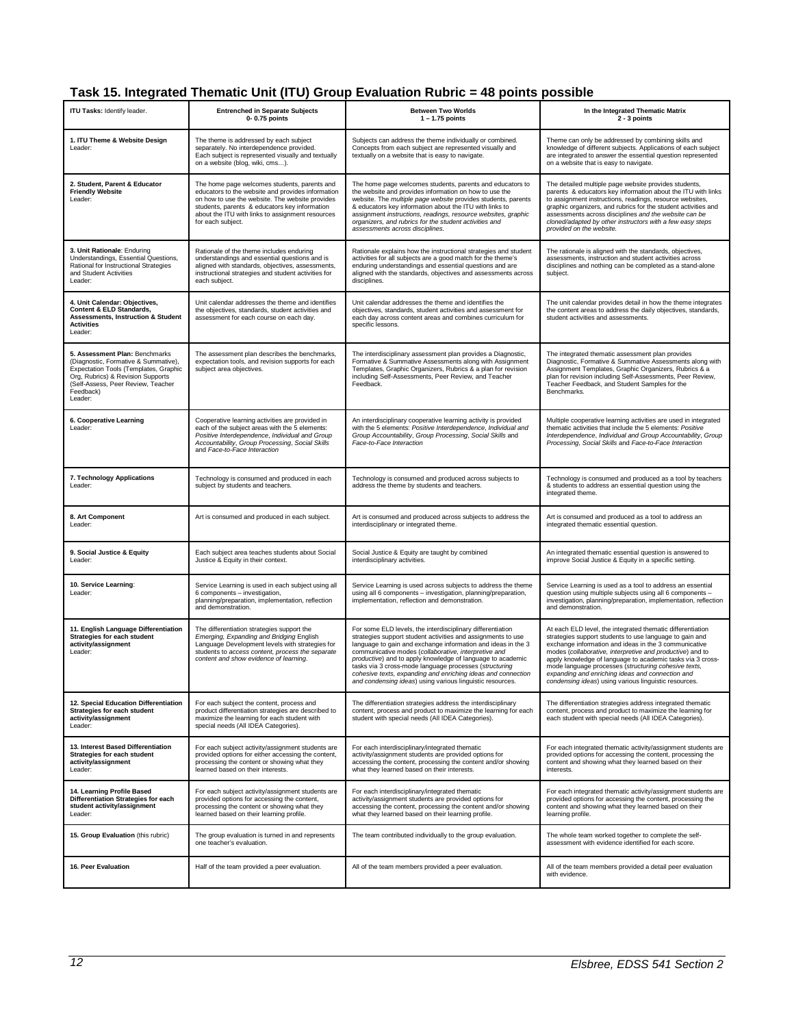# **Task 15. Integrated Thematic Unit (ITU) Group Evaluation Rubric = 48 points possible**

| ITU Tasks: Identify leader.                                                                                                                                                                                        | <b>Entrenched in Separate Subjects</b><br>0-0.75 points                                                                                                                                                                                                                        | <b>Between Two Worlds</b><br>$1 - 1.75$ points                                                                                                                                                                                                                                                                                                                                                                                                                                                          | In the Integrated Thematic Matrix<br>2 - 3 points                                                                                                                                                                                                                                                                                                                                                                                                                              |
|--------------------------------------------------------------------------------------------------------------------------------------------------------------------------------------------------------------------|--------------------------------------------------------------------------------------------------------------------------------------------------------------------------------------------------------------------------------------------------------------------------------|---------------------------------------------------------------------------------------------------------------------------------------------------------------------------------------------------------------------------------------------------------------------------------------------------------------------------------------------------------------------------------------------------------------------------------------------------------------------------------------------------------|--------------------------------------------------------------------------------------------------------------------------------------------------------------------------------------------------------------------------------------------------------------------------------------------------------------------------------------------------------------------------------------------------------------------------------------------------------------------------------|
| 1. ITU Theme & Website Design<br>Leader:                                                                                                                                                                           | The theme is addressed by each subject<br>separately. No interdependence provided.<br>Each subject is represented visually and textually<br>on a website (blog, wiki, cms).                                                                                                    | Subjects can address the theme individually or combined.<br>Concepts from each subject are represented visually and<br>textually on a website that is easy to navigate.                                                                                                                                                                                                                                                                                                                                 | Theme can only be addressed by combining skills and<br>knowledge of different subjects. Applications of each subject<br>are integrated to answer the essential question represented<br>on a website that is easy to navigate.                                                                                                                                                                                                                                                  |
| 2. Student, Parent & Educator<br><b>Friendly Website</b><br>Leader:                                                                                                                                                | The home page welcomes students, parents and<br>educators to the website and provides information<br>on how to use the website. The website provides<br>students, parents & educators key information<br>about the ITU with links to assignment resources<br>for each subject. | The home page welcomes students, parents and educators to<br>the website and provides information on how to use the<br>website. The multiple page website provides students, parents<br>& educators key information about the ITU with links to<br>assignment instructions, readings, resource websites, graphic<br>organizers, and rubrics for the student activities and<br>assessments across disciplines.                                                                                           | The detailed multiple page website provides students,<br>parents & educators key information about the ITU with links<br>to assignment instructions, readings, resource websites,<br>graphic organizers, and rubrics for the student activities and<br>assessments across disciplines and the website can be<br>cloned/adapted by other instructors with a few easy steps<br>provided on the website.                                                                          |
| 3. Unit Rationale: Enduring<br>Understandings, Essential Questions,<br>Rational for Instructional Strategies<br>and Student Activities<br>Leader:                                                                  | Rationale of the theme includes enduring<br>understandings and essential questions and is<br>aligned with standards, objectives, assessments,<br>instructional strategies and student activities for<br>each subject.                                                          | Rationale explains how the instructional strategies and student<br>activities for all subjects are a good match for the theme's<br>enduring understandings and essential questions and are<br>aligned with the standards, objectives and assessments across<br>disciplines.                                                                                                                                                                                                                             | The rationale is aligned with the standards, objectives,<br>assessments, instruction and student activities across<br>disciplines and nothing can be completed as a stand-alone<br>subject.                                                                                                                                                                                                                                                                                    |
| 4. Unit Calendar: Objectives,<br>Content & ELD Standards,<br><b>Assessments, Instruction &amp; Student</b><br><b>Activities</b><br>Leader:                                                                         | Unit calendar addresses the theme and identifies<br>the objectives, standards, student activities and<br>assessment for each course on each day.                                                                                                                               | Unit calendar addresses the theme and identifies the<br>objectives, standards, student activities and assessment for<br>each day across content areas and combines curriculum for<br>specific lessons.                                                                                                                                                                                                                                                                                                  | The unit calendar provides detail in how the theme integrates<br>the content areas to address the daily objectives, standards,<br>student activities and assessments.                                                                                                                                                                                                                                                                                                          |
| 5. Assessment Plan: Benchmarks<br>(Diagnostic, Formative & Summative),<br>Expectation Tools (Templates, Graphic<br>Org, Rubrics) & Revision Supports<br>(Self-Assess, Peer Review, Teacher<br>Feedback)<br>Leader: | The assessment plan describes the benchmarks,<br>expectation tools, and revision supports for each<br>subject area objectives.                                                                                                                                                 | The interdisciplinary assessment plan provides a Diagnostic,<br>Formative & Summative Assessments along with Assignment<br>Templates, Graphic Organizers, Rubrics & a plan for revision<br>including Self-Assessments, Peer Review, and Teacher<br>Feedback.                                                                                                                                                                                                                                            | The integrated thematic assessment plan provides<br>Diagnostic, Formative & Summative Assessments along with<br>Assignment Templates, Graphic Organizers, Rubrics & a<br>plan for revision including Self-Assessments, Peer Review,<br>Teacher Feedback, and Student Samples for the<br>Benchmarks.                                                                                                                                                                            |
| 6. Cooperative Learning<br>Leader:                                                                                                                                                                                 | Cooperative learning activities are provided in<br>each of the subject areas with the 5 elements:<br>Positive Interdependence, Individual and Group<br>Accountability, Group Processing, Social Skills<br>and Face-to-Face Interaction                                         | An interdisciplinary cooperative learning activity is provided<br>with the 5 elements: Positive Interdependence, Individual and<br>Group Accountability, Group Processing, Social Skills and<br>Face-to-Face Interaction                                                                                                                                                                                                                                                                                | Multiple cooperative learning activities are used in integrated<br>thematic activities that include the 5 elements: Positive<br>Interdependence, Individual and Group Accountability, Group<br>Processing, Social Skills and Face-to-Face Interaction                                                                                                                                                                                                                          |
| 7. Technology Applications<br>Leader:                                                                                                                                                                              | Technology is consumed and produced in each<br>subject by students and teachers.                                                                                                                                                                                               | Technology is consumed and produced across subjects to<br>address the theme by students and teachers.                                                                                                                                                                                                                                                                                                                                                                                                   | Technology is consumed and produced as a tool by teachers<br>& students to address an essential question using the<br>integrated theme.                                                                                                                                                                                                                                                                                                                                        |
| 8. Art Component<br>Leader:                                                                                                                                                                                        | Art is consumed and produced in each subject.                                                                                                                                                                                                                                  | Art is consumed and produced across subjects to address the<br>interdisciplinary or integrated theme.                                                                                                                                                                                                                                                                                                                                                                                                   | Art is consumed and produced as a tool to address an<br>integrated thematic essential question.                                                                                                                                                                                                                                                                                                                                                                                |
| 9. Social Justice & Equity<br>Leader:                                                                                                                                                                              | Each subject area teaches students about Social<br>Justice & Equity in their context.                                                                                                                                                                                          | Social Justice & Equity are taught by combined<br>interdisciplinary activities.                                                                                                                                                                                                                                                                                                                                                                                                                         | An integrated thematic essential question is answered to<br>improve Social Justice & Equity in a specific setting.                                                                                                                                                                                                                                                                                                                                                             |
| 10. Service Learning:<br>Leader:                                                                                                                                                                                   | Service Learning is used in each subject using all<br>6 components - investigation,<br>planning/preparation, implementation, reflection<br>and demonstration.                                                                                                                  | Service Learning is used across subjects to address the theme<br>using all 6 components - investigation, planning/preparation,<br>implementation, reflection and demonstration.                                                                                                                                                                                                                                                                                                                         | Service Learning is used as a tool to address an essential<br>question using multiple subjects using all 6 components -<br>investigation, planning/preparation, implementation, reflection<br>and demonstration.                                                                                                                                                                                                                                                               |
| 11. English Language Differentiation<br>Strategies for each student<br>activity/assignment<br>Leader:                                                                                                              | The differentiation strategies support the<br>Emerging, Expanding and Bridging English<br>Language Development levels with strategies for<br>students to access content, process the separate<br>content and show evidence of learning.                                        | For some ELD levels, the interdisciplinary differentiation<br>strategies support student activities and assignments to use<br>language to gain and exchange information and ideas in the 3<br>communicative modes (collaborative, interpretive and<br>productive) and to apply knowledge of language to academic<br>tasks via 3 cross-mode language processes (structuring<br>cohesive texts, expanding and enriching ideas and connection<br>and condensing ideas) using various linguistic resources. | At each ELD level, the integrated thematic differentiation<br>strategies support students to use language to gain and<br>exchange information and ideas in the 3 communicative<br>modes (collaborative, interpretive and productive) and to<br>apply knowledge of language to academic tasks via 3 cross-<br>mode language processes (structuring cohesive texts,<br>expanding and enriching ideas and connection and<br>condensing ideas) using various linguistic resources. |
| 12. Special Education Differentiation<br>Strategies for each student<br>activity/assignment<br>Leader:                                                                                                             | For each subject the content, process and<br>product differentiation strategies are described to<br>maximize the learning for each student with<br>special needs (All IDEA Categories).                                                                                        | The differentiation strategies address the interdisciplinary<br>content, process and product to maximize the learning for each<br>student with special needs (All IDEA Categories).                                                                                                                                                                                                                                                                                                                     | The differentiation strategies address integrated thematic<br>content, process and product to maximize the learning for<br>each student with special needs (All IDEA Categories).                                                                                                                                                                                                                                                                                              |
| 13. Interest Based Differentiation<br>Strategies for each student<br>activity/assignment<br>Leader:                                                                                                                | For each subject activity/assignment students are<br>provided options for either accessing the content,<br>processing the content or showing what they<br>learned based on their interests.                                                                                    | For each interdisciplinary/integrated thematic<br>activity/assignment students are provided options for<br>accessing the content, processing the content and/or showing<br>what they learned based on their interests.                                                                                                                                                                                                                                                                                  | For each integrated thematic activity/assignment students are<br>provided options for accessing the content, processing the<br>content and showing what they learned based on their<br>interests.                                                                                                                                                                                                                                                                              |
| 14. Learning Profile Based<br>Differentiation Strategies for each<br>student activity/assignment<br>Leader:                                                                                                        | For each subject activity/assignment students are<br>provided options for accessing the content,<br>processing the content or showing what they<br>learned based on their learning profile.                                                                                    | For each interdisciplinary/integrated thematic<br>activity/assignment students are provided options for<br>accessing the content, processing the content and/or showing<br>what they learned based on their learning profile.                                                                                                                                                                                                                                                                           | For each integrated thematic activity/assignment students are<br>provided options for accessing the content, processing the<br>content and showing what they learned based on their<br>learning profile.                                                                                                                                                                                                                                                                       |
| 15. Group Evaluation (this rubric)                                                                                                                                                                                 | The group evaluation is turned in and represents<br>one teacher's evaluation.                                                                                                                                                                                                  | The team contributed individually to the group evaluation.                                                                                                                                                                                                                                                                                                                                                                                                                                              | The whole team worked together to complete the self-<br>assessment with evidence identified for each score.                                                                                                                                                                                                                                                                                                                                                                    |
| 16. Peer Evaluation                                                                                                                                                                                                | Half of the team provided a peer evaluation.                                                                                                                                                                                                                                   | All of the team members provided a peer evaluation.                                                                                                                                                                                                                                                                                                                                                                                                                                                     | All of the team members provided a detail peer evaluation<br>with evidence.                                                                                                                                                                                                                                                                                                                                                                                                    |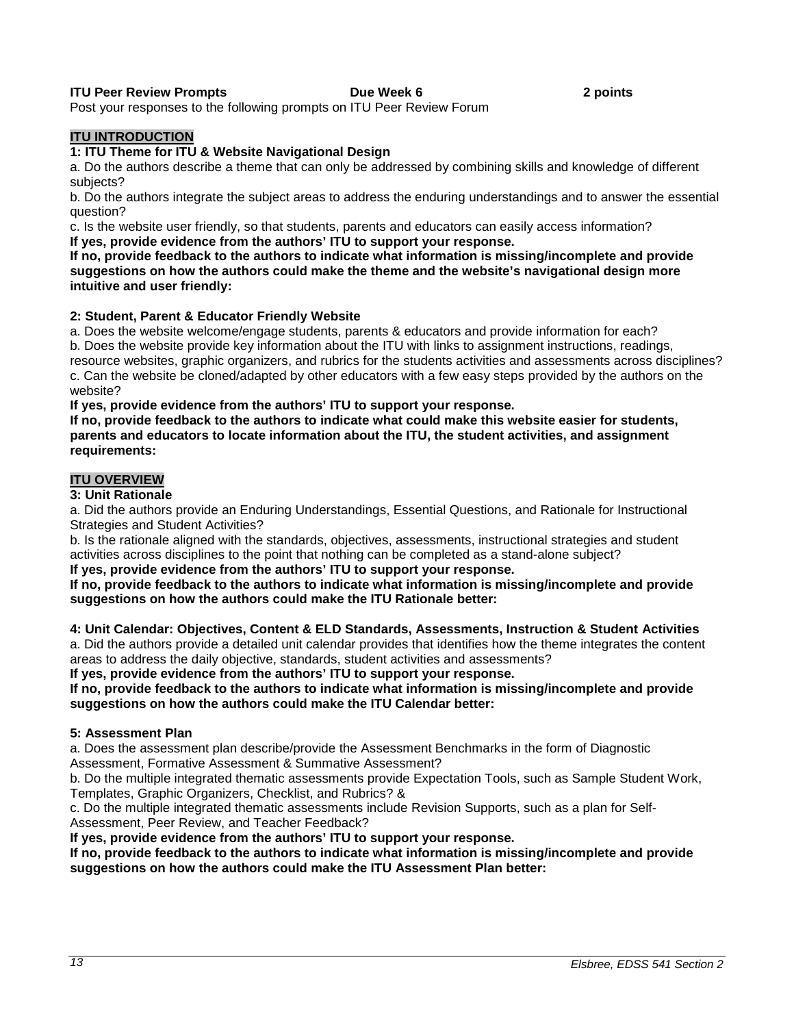# **ITU Peer Review Prompts Community Community Community Prompts Community Proportional Proportional Proportion**

Post your responses to the following prompts on ITU Peer Review Forum

# **ITU INTRODUCTION**

#### **1: ITU Theme for ITU & Website Navigational Design**

a. Do the authors describe a theme that can only be addressed by combining skills and knowledge of different subjects?

b. Do the authors integrate the subject areas to address the enduring understandings and to answer the essential question?

c. Is the website user friendly, so that students, parents and educators can easily access information? **If yes, provide evidence from the authors' ITU to support your response.**

**If no, provide feedback to the authors to indicate what information is missing/incomplete and provide suggestions on how the authors could make the theme and the website's navigational design more intuitive and user friendly:** 

#### **2: Student, Parent & Educator Friendly Website**

a. Does the website welcome/engage students, parents & educators and provide information for each? b. Does the website provide key information about the ITU with links to assignment instructions, readings, resource websites, graphic organizers, and rubrics for the students activities and assessments across disciplines? c. Can the website be cloned/adapted by other educators with a few easy steps provided by the authors on the website?

**If yes, provide evidence from the authors' ITU to support your response.**

**If no, provide feedback to the authors to indicate what could make this website easier for students, parents and educators to locate information about the ITU, the student activities, and assignment requirements:** 

# **ITU OVERVIEW**

#### **3: Unit Rationale**

a. Did the authors provide an Enduring Understandings, Essential Questions, and Rationale for Instructional Strategies and Student Activities?

b. Is the rationale aligned with the standards, objectives, assessments, instructional strategies and student activities across disciplines to the point that nothing can be completed as a stand-alone subject?

**If yes, provide evidence from the authors' ITU to support your response.**

**If no, provide feedback to the authors to indicate what information is missing/incomplete and provide suggestions on how the authors could make the ITU Rationale better:** 

#### **4: Unit Calendar: Objectives, Content & ELD Standards, Assessments, Instruction & Student Activities** a. Did the authors provide a detailed unit calendar provides that identifies how the theme integrates the content areas to address the daily objective, standards, student activities and assessments?

**If yes, provide evidence from the authors' ITU to support your response.**

**If no, provide feedback to the authors to indicate what information is missing/incomplete and provide suggestions on how the authors could make the ITU Calendar better:** 

#### **5: Assessment Plan**

a. Does the assessment plan describe/provide the Assessment Benchmarks in the form of Diagnostic Assessment, Formative Assessment & Summative Assessment?

b. Do the multiple integrated thematic assessments provide Expectation Tools, such as Sample Student Work, Templates, Graphic Organizers, Checklist, and Rubrics? &

c. Do the multiple integrated thematic assessments include Revision Supports, such as a plan for Self-Assessment, Peer Review, and Teacher Feedback?

**If yes, provide evidence from the authors' ITU to support your response.**

**If no, provide feedback to the authors to indicate what information is missing/incomplete and provide suggestions on how the authors could make the ITU Assessment Plan better:**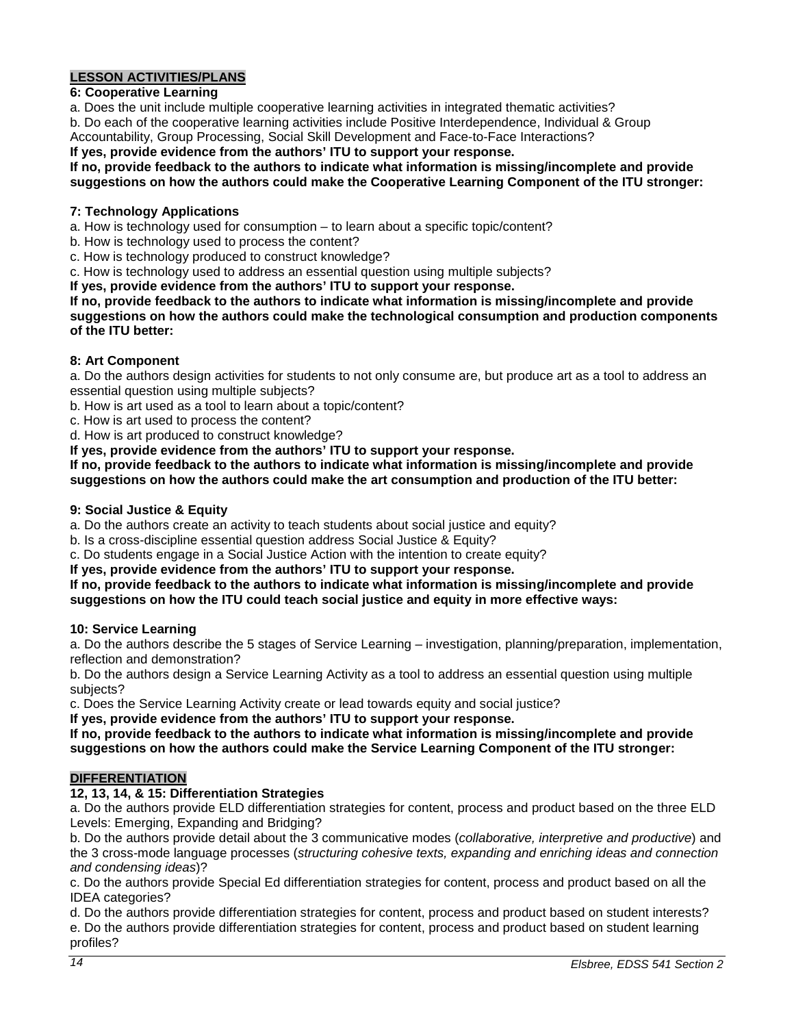# **LESSON ACTIVITIES/PLANS**

# **6: Cooperative Learning**

a. Does the unit include multiple cooperative learning activities in integrated thematic activities?

b. Do each of the cooperative learning activities include Positive Interdependence, Individual & Group Accountability, Group Processing, Social Skill Development and Face-to-Face Interactions?

**If yes, provide evidence from the authors' ITU to support your response.**

# **If no, provide feedback to the authors to indicate what information is missing/incomplete and provide**

**suggestions on how the authors could make the Cooperative Learning Component of the ITU stronger:** 

# **7: Technology Applications**

- a. How is technology used for consumption to learn about a specific topic/content?
- b. How is technology used to process the content?
- c. How is technology produced to construct knowledge?
- c. How is technology used to address an essential question using multiple subjects?

**If yes, provide evidence from the authors' ITU to support your response.**

**If no, provide feedback to the authors to indicate what information is missing/incomplete and provide suggestions on how the authors could make the technological consumption and production components of the ITU better:** 

# **8: Art Component**

a. Do the authors design activities for students to not only consume are, but produce art as a tool to address an essential question using multiple subjects?

b. How is art used as a tool to learn about a topic/content?

c. How is art used to process the content?

d. How is art produced to construct knowledge?

**If yes, provide evidence from the authors' ITU to support your response.**

**If no, provide feedback to the authors to indicate what information is missing/incomplete and provide suggestions on how the authors could make the art consumption and production of the ITU better:** 

# **9: Social Justice & Equity**

a. Do the authors create an activity to teach students about social justice and equity?

b. Is a cross-discipline essential question address Social Justice & Equity?

c. Do students engage in a Social Justice Action with the intention to create equity?

**If yes, provide evidence from the authors' ITU to support your response.**

#### **If no, provide feedback to the authors to indicate what information is missing/incomplete and provide suggestions on how the ITU could teach social justice and equity in more effective ways:**

#### **10: Service Learning**

a. Do the authors describe the 5 stages of Service Learning – investigation, planning/preparation, implementation, reflection and demonstration?

b. Do the authors design a Service Learning Activity as a tool to address an essential question using multiple subjects?

c. Does the Service Learning Activity create or lead towards equity and social justice?

**If yes, provide evidence from the authors' ITU to support your response.**

**If no, provide feedback to the authors to indicate what information is missing/incomplete and provide suggestions on how the authors could make the Service Learning Component of the ITU stronger:** 

# **DIFFERENTIATION**

# **12, 13, 14, & 15: Differentiation Strategies**

a. Do the authors provide ELD differentiation strategies for content, process and product based on the three ELD Levels: Emerging, Expanding and Bridging?

b. Do the authors provide detail about the 3 communicative modes (*collaborative, interpretive and productive*) and the 3 cross-mode language processes (*structuring cohesive texts, expanding and enriching ideas and connection and condensing ideas*)?

c. Do the authors provide Special Ed differentiation strategies for content, process and product based on all the IDEA categories?

d. Do the authors provide differentiation strategies for content, process and product based on student interests? e. Do the authors provide differentiation strategies for content, process and product based on student learning profiles?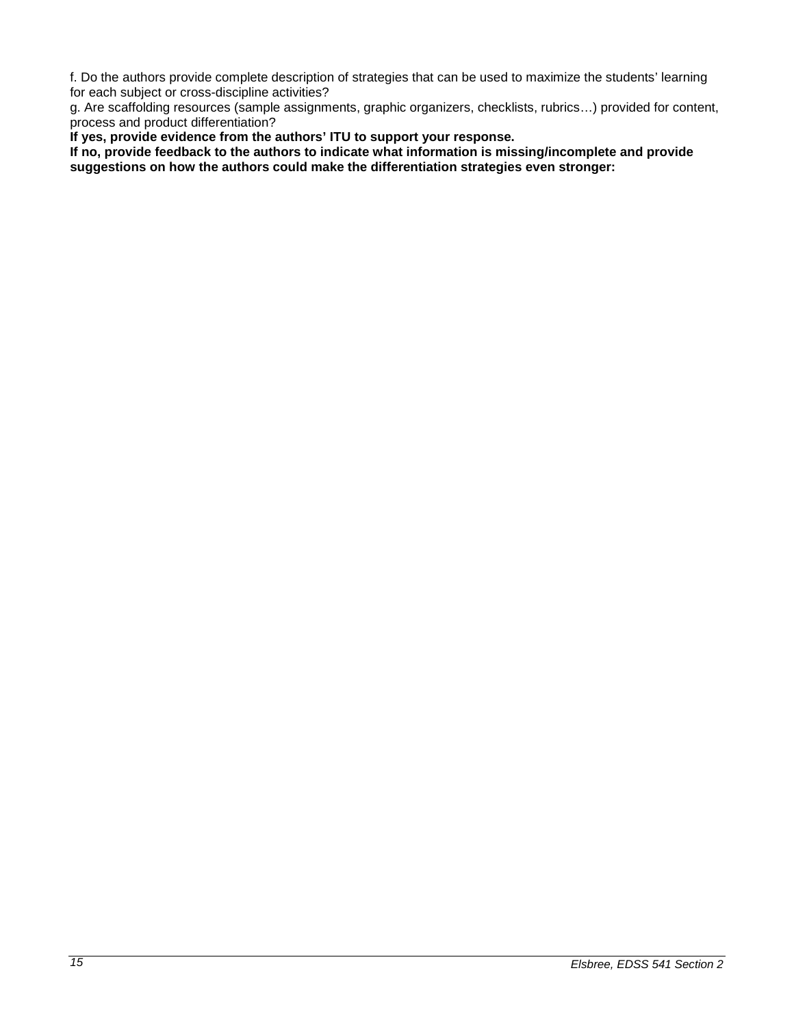f. Do the authors provide complete description of strategies that can be used to maximize the students' learning for each subject or cross-discipline activities?

g. Are scaffolding resources (sample assignments, graphic organizers, checklists, rubrics…) provided for content, process and product differentiation?

**If yes, provide evidence from the authors' ITU to support your response.**

**If no, provide feedback to the authors to indicate what information is missing/incomplete and provide suggestions on how the authors could make the differentiation strategies even stronger:**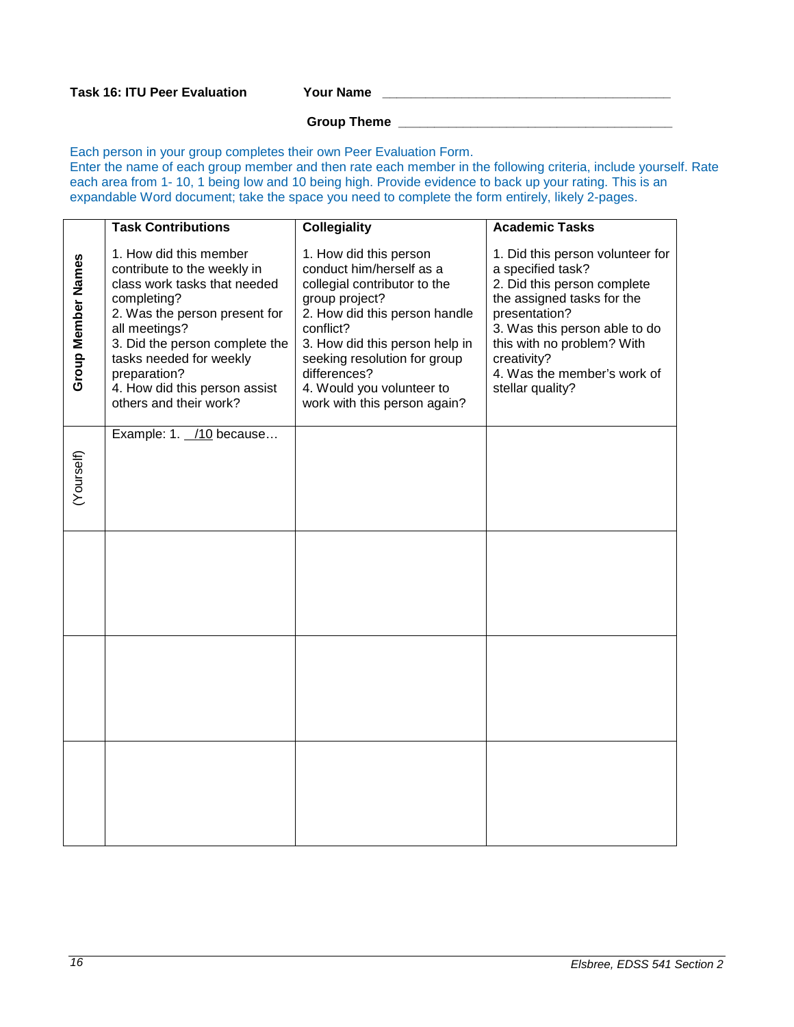# **Group Theme \_\_\_\_\_\_\_\_\_\_\_\_\_\_\_\_\_\_\_\_\_\_\_\_\_\_\_\_\_\_\_\_\_\_\_\_\_\_**

Each person in your group completes their own Peer Evaluation Form. Enter the name of each group member and then rate each member in the following criteria, include yourself. Rate each area from 1- 10, 1 being low and 10 being high. Provide evidence to back up your rating. This is an expandable Word document; take the space you need to complete the form entirely, likely 2-pages.

|                    | <b>Task Contributions</b>                                                                                                                                                                                                                                                                      | <b>Collegiality</b>                                                                                                                                                                                                                                                                               | <b>Academic Tasks</b>                                                                                                                                                                                                                                                |
|--------------------|------------------------------------------------------------------------------------------------------------------------------------------------------------------------------------------------------------------------------------------------------------------------------------------------|---------------------------------------------------------------------------------------------------------------------------------------------------------------------------------------------------------------------------------------------------------------------------------------------------|----------------------------------------------------------------------------------------------------------------------------------------------------------------------------------------------------------------------------------------------------------------------|
| Group Member Names | 1. How did this member<br>contribute to the weekly in<br>class work tasks that needed<br>completing?<br>2. Was the person present for<br>all meetings?<br>3. Did the person complete the<br>tasks needed for weekly<br>preparation?<br>4. How did this person assist<br>others and their work? | 1. How did this person<br>conduct him/herself as a<br>collegial contributor to the<br>group project?<br>2. How did this person handle<br>conflict?<br>3. How did this person help in<br>seeking resolution for group<br>differences?<br>4. Would you volunteer to<br>work with this person again? | 1. Did this person volunteer for<br>a specified task?<br>2. Did this person complete<br>the assigned tasks for the<br>presentation?<br>3. Was this person able to do<br>this with no problem? With<br>creativity?<br>4. Was the member's work of<br>stellar quality? |
| (Yourself)         | Example: 1. /10 because                                                                                                                                                                                                                                                                        |                                                                                                                                                                                                                                                                                                   |                                                                                                                                                                                                                                                                      |
|                    |                                                                                                                                                                                                                                                                                                |                                                                                                                                                                                                                                                                                                   |                                                                                                                                                                                                                                                                      |
|                    |                                                                                                                                                                                                                                                                                                |                                                                                                                                                                                                                                                                                                   |                                                                                                                                                                                                                                                                      |
|                    |                                                                                                                                                                                                                                                                                                |                                                                                                                                                                                                                                                                                                   |                                                                                                                                                                                                                                                                      |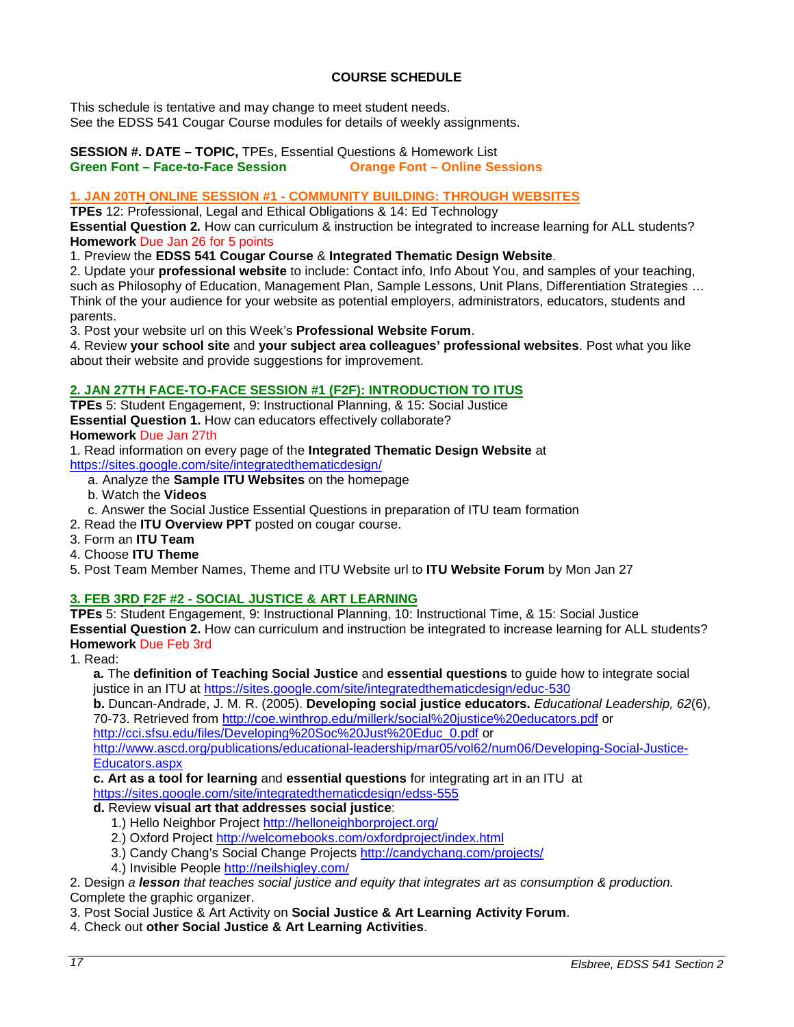# **COURSE SCHEDULE**

<span id="page-16-0"></span>This schedule is tentative and may change to meet student needs. See the EDSS 541 Cougar Course modules for details of weekly assignments.

#### **SESSION #. DATE – TOPIC,** TPEs, Essential Questions & Homework List **Green Font – Face-to-Face Session**

# **1. JAN 20TH ONLINE SESSION #1 - COMMUNITY BUILDING: THROUGH WEBSITES**

**TPEs** 12: Professional, Legal and Ethical Obligations & 14: Ed Technology

**Essential Question 2***.* How can curriculum & instruction be integrated to increase learning for ALL students? **Homework** Due Jan 26 for 5 points

1. Preview the **EDSS 541 Cougar Course** & **Integrated Thematic Design Website**.

2. Update your **professional website** to include: Contact info, Info About You, and samples of your teaching, such as Philosophy of Education, Management Plan, Sample Lessons, Unit Plans, Differentiation Strategies ... Think of the your audience for your website as potential employers, administrators, educators, students and parents.

3. Post your website url on this Week's **Professional Website Forum**.

4. Review **your school site** and **your subject area colleagues' professional websites**. Post what you like about their website and provide suggestions for improvement.

# **2. JAN 27TH FACE-TO-FACE SESSION #1 (F2F): INTRODUCTION TO ITUS**

**TPEs** 5: Student Engagement, 9: Instructional Planning, & 15: Social Justice **Essential Question 1.** How can educators effectively collaborate? **Homework** Due Jan 27th

1. Read information on every page of the **Integrated Thematic Design Website** at

<https://sites.google.com/site/integratedthematicdesign/>

- a. Analyze the **Sample ITU Websites** on the homepage
- b. Watch the **Videos**
- c. Answer the Social Justice Essential Questions in preparation of ITU team formation

2. Read the **ITU Overview PPT** posted on cougar course.

3. Form an **ITU Team**

- 4. Choose **ITU Theme**
- 5. Post Team Member Names, Theme and ITU Website url to **ITU Website Forum** by Mon Jan 27

# **3. FEB 3RD F2F #2 - SOCIAL JUSTICE & ART LEARNING**

**TPEs** 5: Student Engagement, 9: Instructional Planning, 10: Instructional Time, & 15: Social Justice **Essential Question 2.** How can curriculum and instruction be integrated to increase learning for ALL students? **Homework** Due Feb 3rd

1. Read:

**a.** The **definition of Teaching Social Justice** and **essential questions** to guide how to integrate social justice in an ITU at<https://sites.google.com/site/integratedthematicdesign/educ-530>

**b.** Duncan-Andrade, J. M. R. (2005). **Developing social justice educators.** *Educational Leadership, 62*(6), 70-73. Retrieved from<http://coe.winthrop.edu/millerk/social%20justice%20educators.pdf> or

[http://cci.sfsu.edu/files/Developing%20Soc%20Just%20Educ\\_0.pdf](http://cci.sfsu.edu/files/Developing%20Soc%20Just%20Educ_0.pdf) or

[http://www.ascd.org/publications/educational-leadership/mar05/vol62/num06/Developing-Social-Justice-](http://www.ascd.org/publications/educational-leadership/mar05/vol62/num06/Developing-Social-Justice-Educators.aspx)[Educators.aspx](http://www.ascd.org/publications/educational-leadership/mar05/vol62/num06/Developing-Social-Justice-Educators.aspx)

**c. Art as a tool for learning** and **essential questions** for integrating art in an ITU at

#### <https://sites.google.com/site/integratedthematicdesign/edss-555>

# **d.** Review **visual art that addresses social justice**:

- 1.) Hello Neighbor Project<http://helloneighborproject.org/>
- 2.) Oxford Project<http://welcomebooks.com/oxfordproject/index.html>
- 3.) Candy Chang's Social Change Projects<http://candychang.com/projects/>
- 4.) Invisible People<http://neilshigley.com/>

2. Design *a lesson that teaches social justice and equity that integrates art as consumption & production.* Complete the graphic organizer.

3. Post Social Justice & Art Activity on **Social Justice & Art Learning Activity Forum**.

4. Check out **other Social Justice & Art Learning Activities**.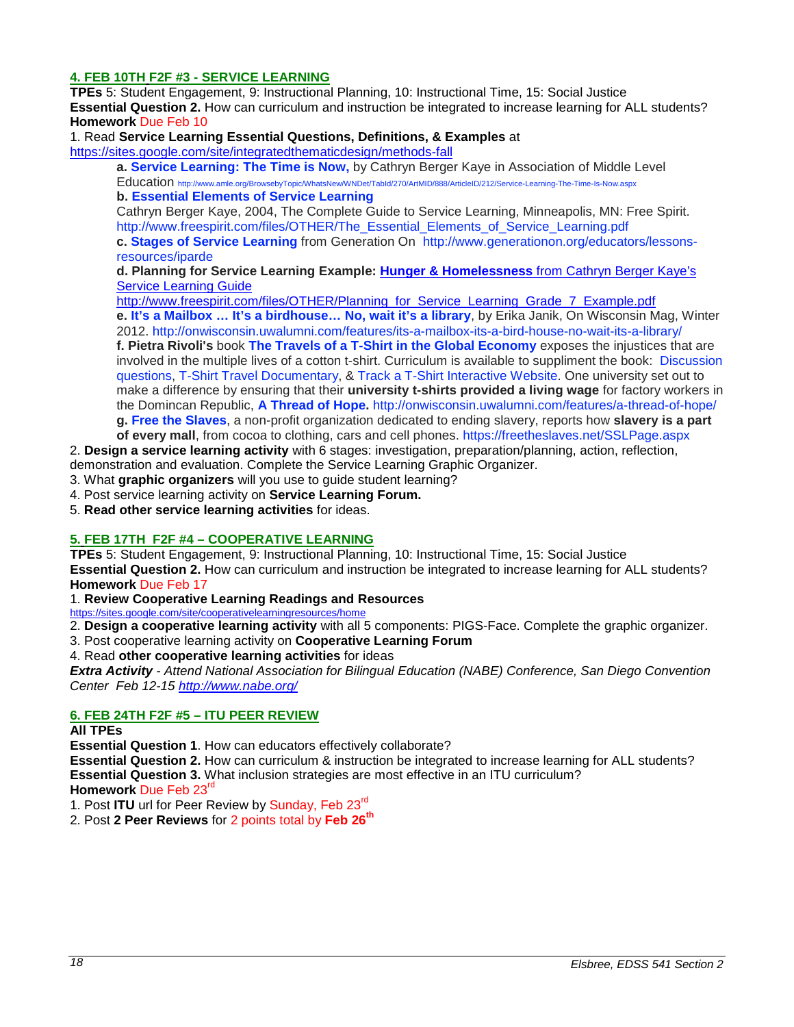# **4. FEB 10TH F2F #3 - SERVICE LEARNING**

**TPEs** 5: Student Engagement, 9: Instructional Planning, 10: Instructional Time, 15: Social Justice **Essential Question 2.** How can curriculum and instruction be integrated to increase learning for ALL students? **Homework** Due Feb 10

#### 1. Read **Service Learning Essential Questions, Definitions, & Examples** at

<https://sites.google.com/site/integratedthematicdesign/methods-fall>

**a. [Service Learning: The Time is Now,](http://www.amle.org/BrowsebyTopic/WhatsNew/WNDet/TabId/270/ArtMID/888/ArticleID/212/Service-Learning-The-Time-Is-Now.aspx)** by Cathryn Berger Kaye in Association of Middle Level Education<http://www.amle.org/BrowsebyTopic/WhatsNew/WNDet/TabId/270/ArtMID/888/ArticleID/212/Service-Learning-The-Time-Is-Now.aspx>

**b. [Essential Elements of Service Learning](http://www.freespirit.com/files/OTHER/The_Essential_Elements_of_Service_Learning.pdf)**

Cathryn Berger Kaye, 2004, The Complete Guide to Service Learning, Minneapolis, MN: Free Spirit. [http://www.freespirit.com/files/OTHER/The\\_Essential\\_Elements\\_of\\_Service\\_Learning.pdf](http://www.freespirit.com/files/OTHER/The_Essential_Elements_of_Service_Learning.pdf)

**c. [Stages of Service Learning](http://www.generationon.org/educators/lessons-resources/iparde)** from Generation On [http://www.generationon.org/educators/lessons](http://www.generationon.org/educators/lessons-resources/iparde)[resources/iparde](http://www.generationon.org/educators/lessons-resources/iparde)

**d. Planning for Service Learning Example: Hunger & Homelessness** from Cathryn Berger Kaye's Service Learning Guide

http://www.freespirit.com/files/OTHER/Planning\_for\_Service\_Learning\_Grade\_7\_Example.pdf **e. [It's a Mailbox … It's a birdhouse… No, wait it's a library](http://cc.csusm.edu/%20http:/onwisconsin.uwalumni.com/features/its-a-mailbox-its-a-bird-house-no-wait-its-a-library/)**, by Erika Janik, On Wisconsin Mag, Winter 2012.<http://onwisconsin.uwalumni.com/features/its-a-mailbox-its-a-bird-house-no-wait-its-a-library/> **f. Pietra Rivoli's** book **[The Travels of a T-Shirt in the Global Economy](http://faculty.fairfield.edu/winston/The%20Travels%20of%20a%20t-shirt.pdf)** exposes the injustices that are involved in the multiple lives of a cotton t-shirt. Curriculum is available to suppliment the book: [Discussion](http://www.frbatlanta.org/documents/pubs/extracredit/TShirtTravelsDiscussion.pdf)  [questions,](http://www.frbatlanta.org/documents/pubs/extracredit/TShirtTravelsDiscussion.pdf) [T-Shirt Travel Documentary,](http://www.pbs.org/independentlens/tshirttravels/film.html) & [Track a T-Shirt Interactive Website.](http://www.pbs.org/independentlens/tshirttravels/track.html) One university set out to make a difference by ensuring that their **university t-shirts provided a living wage** for factory workers in the Domincan Republic, **[A Thread of Hope.](http://onwisconsin.uwalumni.com/features/a-thread-of-hope/)** <http://onwisconsin.uwalumni.com/features/a-thread-of-hope/> **g. [Free the Slaves](https://freetheslaves.net/SSLPage.aspx)**, a non-profit organization dedicated to ending slavery, reports how **slavery is a part** 

**of every mall**, from cocoa to clothing, cars and cell phones.<https://freetheslaves.net/SSLPage.aspx>

2. **Design a service learning activity** with 6 stages: investigation, preparation/planning, action, reflection,

demonstration and evaluation. Complete the Service Learning Graphic Organizer.

3. What **graphic organizers** will you use to guide student learning?

- 4. Post service learning activity on **Service Learning Forum.**
- 5. **Read other service learning activities** for ideas.

#### **5. FEB 17TH F2F #4 – COOPERATIVE LEARNING**

**TPEs** 5: Student Engagement, 9: Instructional Planning, 10: Instructional Time, 15: Social Justice **Essential Question 2.** How can curriculum and instruction be integrated to increase learning for ALL students? **Homework** Due Feb 17

1. **Review Cooperative Learning Readings and Resources** 

<https://sites.google.com/site/cooperativelearningresources/home>

2. **Design a cooperative learning activity** with all 5 components: PIGS-Face. Complete the graphic organizer.

3. Post cooperative learning activity on **Cooperative Learning Forum**

4. Read **other cooperative learning activities** for ideas

*Extra Activity - Attend National Association for Bilingual Education (NABE) Conference, San Diego Convention Center Feb 12-15<http://www.nabe.org/>*

#### **6. FEB 24TH F2F #5 – ITU PEER REVIEW**

#### **All TPEs**

**Essential Question 1**. How can educators effectively collaborate?

**Essential Question 2.** How can curriculum & instruction be integrated to increase learning for ALL students? **Essential Question 3.** What inclusion strategies are most effective in an ITU curriculum? **Homework** Due Feb 23rd

1. Post **ITU** url for Peer Review by Sunday, Feb 23rd

2. Post **2 Peer Reviews** for 2 points total by **Feb 26th**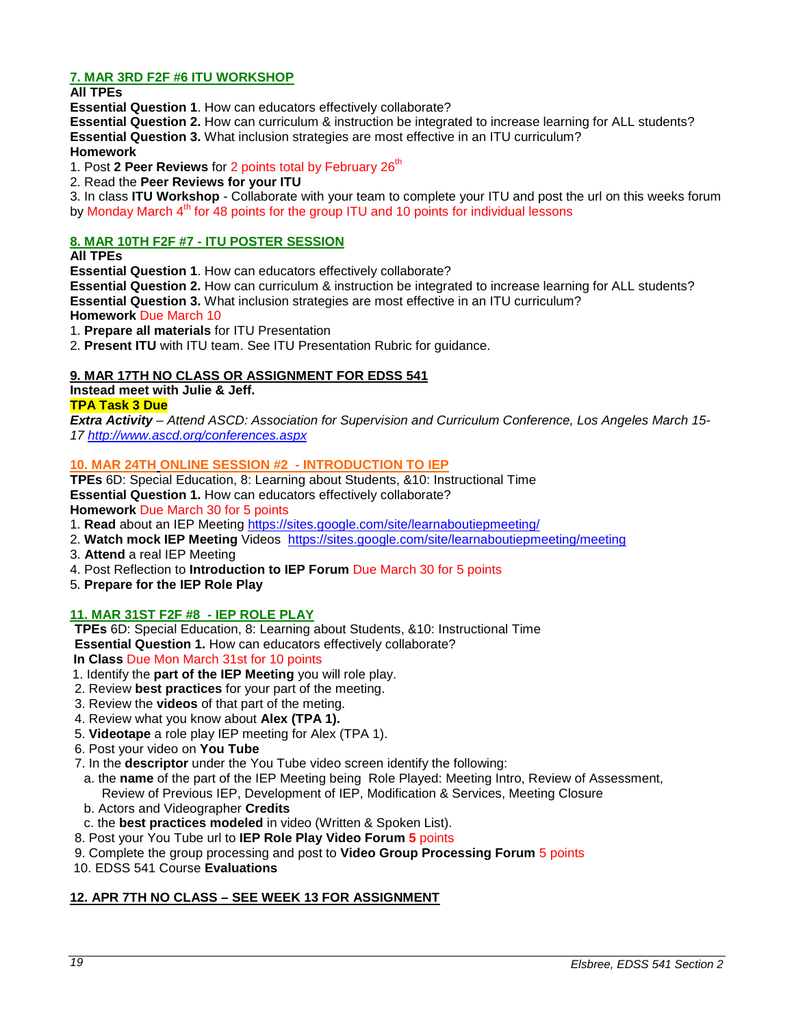# **7. MAR 3RD F2F #6 ITU WORKSHOP**

**All TPEs** 

**Essential Question 1**. How can educators effectively collaborate?

**Essential Question 2.** How can curriculum & instruction be integrated to increase learning for ALL students? **Essential Question 3.** What inclusion strategies are most effective in an ITU curriculum? **Homework** 

1. Post 2 Peer Reviews for 2 points total by February 26<sup>th</sup>

2. Read the **Peer Reviews for your ITU**

3. In class **ITU Workshop** - Collaborate with your team to complete your ITU and post the url on this weeks forum by Monday March  $4<sup>th</sup>$  for 48 points for the group ITU and 10 points for individual lessons

# **8. MAR 10TH F2F #7 - ITU POSTER SESSION**

**All TPEs** 

**Essential Question 1**. How can educators effectively collaborate?

**Essential Question 2.** How can curriculum & instruction be integrated to increase learning for ALL students? **Essential Question 3.** What inclusion strategies are most effective in an ITU curriculum?

**Homework** Due March 10

1. **Prepare all materials** for ITU Presentation

2. **Present ITU** with ITU team. See ITU Presentation Rubric for guidance.

# **9. MAR 17TH NO CLASS OR ASSIGNMENT FOR EDSS 541**

**Instead meet with Julie & Jeff.**

# **TPA Task 3 Due**

*Extra Activity – Attend ASCD: Association for Supervision and Curriculum Conference, Los Angeles March 15- 17<http://www.ascd.org/conferences.aspx>*

# **10. MAR 24TH ONLINE SESSION #2 - INTRODUCTION TO IEP**

**TPEs** 6D: Special Education, 8: Learning about Students, &10: Instructional Time **Essential Question 1.** How can educators effectively collaborate? **Homework** Due March 30 for 5 points

1. **Read** about an IEP Meeting<https://sites.google.com/site/learnaboutiepmeeting/>

- 2. **Watch mock IEP Meeting** Videos <https://sites.google.com/site/learnaboutiepmeeting/meeting>
- 3. **Attend** a real IEP Meeting
- 4. Post Reflection to **Introduction to IEP Forum** Due March 30 for 5 points
- 5. **Prepare for the IEP Role Play**

# **11. MAR 31ST F2F #8 - IEP ROLE PLAY**

**TPEs** 6D: Special Education, 8: Learning about Students, &10: Instructional Time **Essential Question 1.** How can educators effectively collaborate?

**In Class** Due Mon March 31st for 10 points

- 1. Identify the **part of the IEP Meeting** you will role play.
- 2. Review **best practices** for your part of the meeting.
- 3. Review the **videos** of that part of the meting.
- 4. Review what you know about **Alex (TPA 1).**
- 5. **Videotape** a role play IEP meeting for Alex (TPA 1).
- 6. Post your video on **You Tube**
- 7. In the **descriptor** under the You Tube video screen identify the following:
- a. the **name** of the part of the IEP Meeting being Role Played: Meeting Intro, Review of Assessment, Review of Previous IEP, Development of IEP, Modification & Services, Meeting Closure
- b. Actors and Videographer **Credits**
- c. the **best practices modeled** in video (Written & Spoken List).
- 8. Post your You Tube url to **IEP Role Play Video Forum 5** points
- 9. Complete the group processing and post to **Video Group Processing Forum** 5 points
- 10. EDSS 541 Course **Evaluations**

# **12. APR 7TH NO CLASS – SEE WEEK 13 FOR ASSIGNMENT**